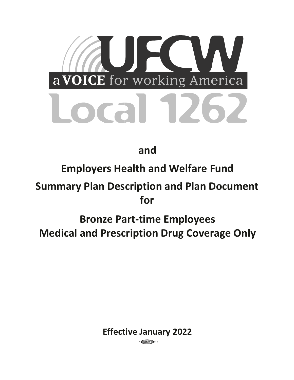

**and** 

# **Employers Health and Welfare Fund**

# **Summary Plan Description and Plan Document for**

# **Bronze Part-time Employees Medical and Prescription Drug Coverage Only**

**Effective January 2022** 

 $\epsilon$  CCC/IBT $\rightarrow$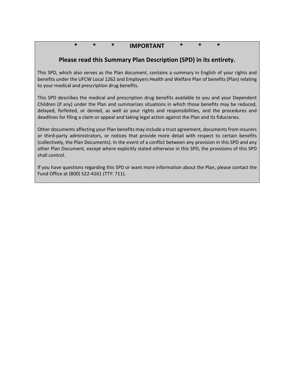# **\* \* \* IMPORTANT \* \* \***

# **Please read this Summary Plan Description (SPD) in its entirety.**

This SPD, which also serves as the Plan document, contains a summary in English of your rights and benefits under the UFCW Local 1262 and Employers Health and Welfare Plan of benefits (Plan) relating to your medical and prescription drug benefits.

This SPD describes the medical and prescription drug benefits available to you and your Dependent Children (if any) under the Plan and summarizes situations in which those benefits may be reduced, delayed, forfeited, or denied, as well as your rights and responsibilities, and the procedures and deadlines for filing a claim or appeal and taking legal action against the Plan and its fiduciaries.

Other documents affecting your Plan benefits may include a trust agreement, documents from insurers or third-party administrators, or notices that provide more detail with respect to certain benefits (collectively, the Plan Documents). In the event of a conflict between any provision in this SPD and any other Plan Document, except where explicitly stated otherwise in this SPD, the provisions of this SPD shall control.

If you have questions regarding this SPD or want more information about the Plan, please contact the Fund Office at (800) 522-4161 (TTY: 711).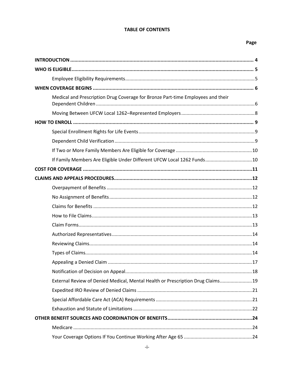#### **TABLE OF CONTENTS**

## Page

| Medical and Prescription Drug Coverage for Bronze Part-time Employees and their |
|---------------------------------------------------------------------------------|
|                                                                                 |
|                                                                                 |
|                                                                                 |
|                                                                                 |
|                                                                                 |
| If Family Members Are Eligible Under Different UFCW Local 1262 Funds 10         |
|                                                                                 |
|                                                                                 |
|                                                                                 |
|                                                                                 |
|                                                                                 |
|                                                                                 |
|                                                                                 |
|                                                                                 |
|                                                                                 |
|                                                                                 |
|                                                                                 |
|                                                                                 |
| External Review of Denied Medical, Mental Health or Prescription Drug Claims19  |
|                                                                                 |
|                                                                                 |
|                                                                                 |
|                                                                                 |
|                                                                                 |
|                                                                                 |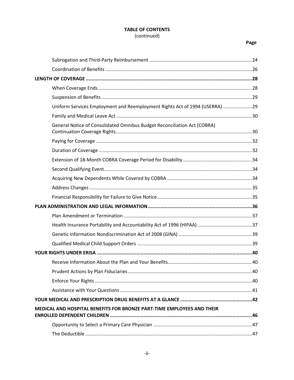## **TABLE OF CONTENTS** (continued)

## Page

| Uniform Services Employment and Reemployment Rights Act of 1994 (USERRA) 29 |  |
|-----------------------------------------------------------------------------|--|
|                                                                             |  |
| General Notice of Consolidated Omnibus Budget Reconciliation Act (COBRA)    |  |
|                                                                             |  |
|                                                                             |  |
|                                                                             |  |
|                                                                             |  |
|                                                                             |  |
|                                                                             |  |
|                                                                             |  |
|                                                                             |  |
|                                                                             |  |
|                                                                             |  |
|                                                                             |  |
|                                                                             |  |
|                                                                             |  |
|                                                                             |  |
|                                                                             |  |
|                                                                             |  |
|                                                                             |  |
|                                                                             |  |
| MEDICAL AND HOSPITAL BENEFITS FOR BRONZE PART-TIME EMPLOYEES AND THEIR      |  |
|                                                                             |  |
|                                                                             |  |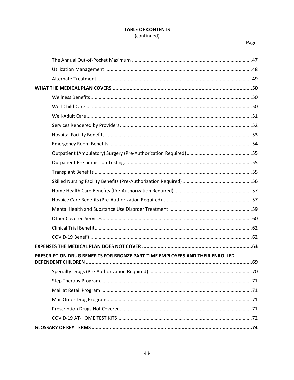## **TABLE OF CONTENTS** (continued)

## Page

| PRESCRIPTION DRUG BENEFITS FOR BRONZE PART-TIME EMPLOYEES AND THEIR ENROLLED |  |
|------------------------------------------------------------------------------|--|
|                                                                              |  |
|                                                                              |  |
|                                                                              |  |
|                                                                              |  |
|                                                                              |  |
|                                                                              |  |
|                                                                              |  |
|                                                                              |  |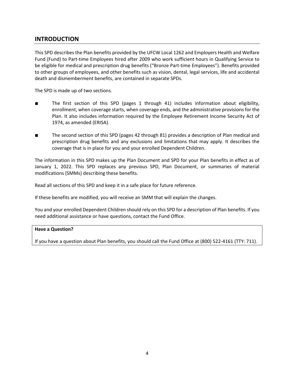# **INTRODUCTION**

This SPD describes the Plan benefits provided by the UFCW Local 1262 and Employers Health and Welfare Fund (Fund) to Part-time Employees hired after 2009 who work sufficient hours in Qualifying Service to be eligible for medical and prescription drug benefits ("Bronze Part-time Employees"). Benefits provided to other groups of employees, and other benefits such as vision, dental, legal services, life and accidental death and dismemberment benefits, are contained in separate SPDs.

The SPD is made up of two sections.

- The first section of this SPD (pages 1 through 41) includes information about eligibility, enrollment, when coverage starts, when coverage ends, and the administrative provisions for the Plan. It also includes information required by the Employee Retirement Income Security Act of 1974, as amended (ERISA).
- The second section of this SPD (pages 42 through 81) provides a description of Plan medical and prescription drug benefits and any exclusions and limitations that may apply. It describes the coverage that is in place for you and your enrolled Dependent Children.

The information in this SPD makes up the Plan Document and SPD for your Plan benefits in effect as of January 1, 2022. This SPD replaces any previous SPD, Plan Document, or summaries of material modifications (SMMs) describing these benefits.

Read all sections of this SPD and keep it in a safe place for future reference.

If these benefits are modified, you will receive an SMM that will explain the changes.

You and your enrolled Dependent Children should rely on this SPD for a description of Plan benefits. If you need additional assistance or have questions, contact the Fund Office.

#### **Have a Question?**

If you have a question about Plan benefits, you should call the Fund Office at (800) 522-4161 (TTY: 711).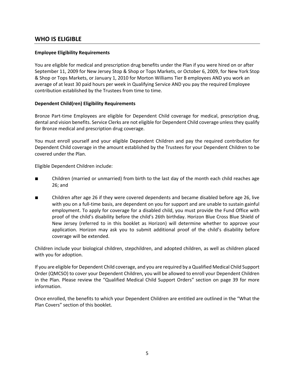## **WHO IS ELIGIBLE**

#### **Employee Eligibility Requirements**

You are eligible for medical and prescription drug benefits under the Plan if you were hired on or after September 11, 2009 for New Jersey Stop & Shop or Tops Markets, or October 6, 2009, for New York Stop & Shop or Tops Markets, or January 1, 2010 for Morton Williams Tier B employees AND you work an average of at least 30 paid hours per week in Qualifying Service AND you pay the required Employee contribution established by the Trustees from time to time.

#### **Dependent Child(ren) Eligibility Requirements**

Bronze Part-time Employees are eligible for Dependent Child coverage for medical, prescription drug, dental and vision benefits. Service Clerks are not eligible for Dependent Child coverage unless they qualify for Bronze medical and prescription drug coverage.

You must enroll yourself and your eligible Dependent Children and pay the required contribution for Dependent Child coverage in the amount established by the Trustees for your Dependent Children to be covered under the Plan.

Eligible Dependent Children include:

- Children (married or unmarried) from birth to the last day of the month each child reaches age 26; and
- Children after age 26 if they were covered dependents and became disabled before age 26, live with you on a full-time basis, are dependent on you for support and are unable to sustain gainful employment. To apply for coverage for a disabled child, you must provide the Fund Office with proof of the child's disability before the child's 26th birthday. Horizon Blue Cross Blue Shield of New Jersey (referred to in this booklet as Horizon) will determine whether to approve your application. Horizon may ask you to submit additional proof of the child's disability before coverage will be extended.

Children include your biological children, stepchildren, and adopted children, as well as children placed with you for adoption.

If you are eligible for Dependent Child coverage, and you are required by a Qualified Medical Child Support Order (QMCSO) to cover your Dependent Children, you will be allowed to enroll your Dependent Children in the Plan. Please review the "Qualified Medical Child Support Orders" section on page 39 for more information.

Once enrolled, the benefits to which your Dependent Children are entitled are outlined in the "What the Plan Covers" section of this booklet.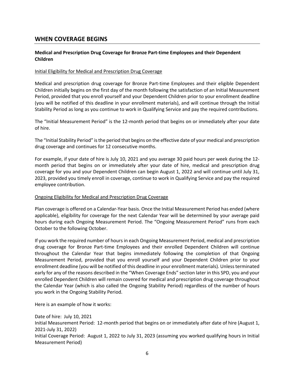## **WHEN COVERAGE BEGINS**

#### **Medical and Prescription Drug Coverage for Bronze Part-time Employees and their Dependent Children**

#### Initial Eligibility for Medical and Prescription Drug Coverage

Medical and prescription drug coverage for Bronze Part-time Employees and their eligible Dependent Children initially begins on the first day of the month following the satisfaction of an Initial Measurement Period, provided that you enroll yourself and your Dependent Children prior to your enrollment deadline (you will be notified of this deadline in your enrollment materials), and will continue through the Initial Stability Period as long as you continue to work in Qualifying Service and pay the required contributions.

The "Initial Measurement Period" is the 12-month period that begins on or immediately after your date of hire.

The "Initial Stability Period" is the period that begins on the effective date of your medical and prescription drug coverage and continues for 12 consecutive months.

For example, if your date of hire is July 10, 2021 and you average 30 paid hours per week during the 12 month period that begins on or immediately after your date of hire, medical and prescription drug coverage for you and your Dependent Children can begin August 1, 2022 and will continue until July 31, 2023, provided you timely enroll in coverage, continue to work in Qualifying Service and pay the required employee contribution.

#### Ongoing Eligibility for Medical and Prescription Drug Coverage

Plan coverage is offered on a Calendar-Year basis. Once the Initial Measurement Period has ended (where applicable), eligibility for coverage for the next Calendar Year will be determined by your average paid hours during each Ongoing Measurement Period. The "Ongoing Measurement Period" runs from each October to the following October.

If you work the required number of hours in each Ongoing Measurement Period, medical and prescription drug coverage for Bronze Part-time Employees and their enrolled Dependent Children will continue throughout the Calendar Year that begins immediately following the completion of that Ongoing Measurement Period, provided that you enroll yourself and your Dependent Children prior to your enrollment deadline (you will be notified of this deadline in your enrollment materials). Unless terminated early for any of the reasons described in the "When Coverage Ends" section later in this SPD, you and your enrolled Dependent Children will remain covered for medical and prescription drug coverage throughout the Calendar Year (which is also called the Ongoing Stability Period) regardless of the number of hours you work in the Ongoing Stability Period.

Here is an example of how it works:

Date of hire: July 10, 2021 Initial Measurement Period: 12-month period that begins on or immediately after date of hire (August 1, 2021-July 31, 2022) Initial Coverage Period: August 1, 2022 to July 31, 2023 (assuming you worked qualifying hours in Initial Measurement Period)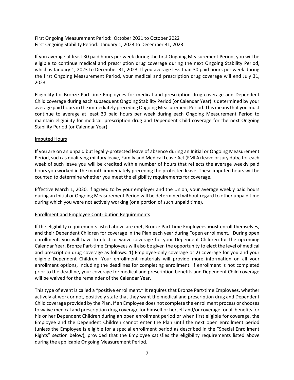First Ongoing Measurement Period: October 2021 to October 2022 First Ongoing Stability Period: January 1, 2023 to December 31, 2023

If you average at least 30 paid hours per week during the first Ongoing Measurement Period, you will be eligible to continue medical and prescription drug coverage during the next Ongoing Stability Period, which is January 1, 2023 to December 31, 2023. If you average less than 30 paid hours per week during the first Ongoing Measurement Period, your medical and prescription drug coverage will end July 31, 2023.

Eligibility for Bronze Part-time Employees for medical and prescription drug coverage and Dependent Child coverage during each subsequent Ongoing Stability Period (or Calendar Year) is determined by your average paid hours in the immediately preceding Ongoing Measurement Period. This means that you must continue to average at least 30 paid hours per week during each Ongoing Measurement Period to maintain eligibility for medical, prescription drug and Dependent Child coverage for the next Ongoing Stability Period (or Calendar Year).

#### Imputed Hours

If you are on an unpaid but legally-protected leave of absence during an Initial or Ongoing Measurement Period, such as qualifying military leave, Family and Medical Leave Act (FMLA) leave or jury duty**,** for each week of such leave you will be credited with a number of hours that reflects the average weekly paid hours you worked in the month immediately preceding the protected leave. These imputed hours will be counted to determine whether you meet the eligibility requirements for coverage.

Effective March 1, 2020, if agreed to by your employer and the Union, your average weekly paid hours during an Initial or Ongoing Measurement Period will be determined without regard to other unpaid time during which you were not actively working (or a portion of such unpaid time)**.**

#### Enrollment and Employee Contribution Requirements

If the eligibility requirements listed above are met, Bronze Part-time Employees **must** enroll themselves, and their Dependent Children for coverage in the Plan each year during "open enrollment." During open enrollment, you will have to elect or waive coverage for your Dependent Children for the upcoming Calendar Year. Bronze Part-time Employees will also be given the opportunity to elect the level of medical and prescription drug coverage as follows: 1) Employee-only coverage or 2) coverage for you and your eligible Dependent Children. Your enrollment materials will provide more information on all your enrollment options, including the deadlines for completing enrollment. If enrollment is not completed prior to the deadline, your coverage for medical and prescription benefits and Dependent Child coverage will be waived for the remainder of the Calendar Year.

This type of event is called a "positive enrollment." It requires that Bronze Part-time Employees, whether actively at work or not, positively state that they want the medical and prescription drug and Dependent Child coverage provided by the Plan. If an Employee does not complete the enrollment process or chooses to waive medical and prescription drug coverage for himself or herself and/or coverage for all benefits for his or her Dependent Children during an open enrollment period or when first eligible for coverage, the Employee and the Dependent Children cannot enter the Plan until the next open enrollment period (unless the Employee is eligible for a special enrollment period as described in the "Special Enrollment Rights" section below), provided that the Employee satisfies the eligibility requirements listed above during the applicable Ongoing Measurement Period.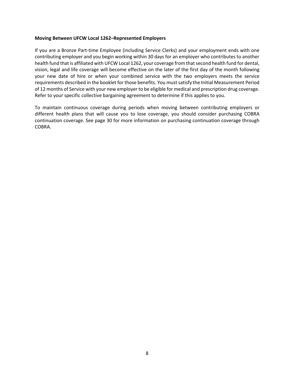#### **Moving Between UFCW Local 1262–Represented Employers**

If you are a Bronze Part-time Employee (including Service Clerks) and your employment ends with one contributing employer and you begin working within 30 days for an employer who contributes to another health fund that is affiliated with UFCW Local 1262, your coverage from that second health fund for dental, vision, legal and life coverage will become effective on the later of the first day of the month following your new date of hire or when your combined service with the two employers meets the service requirements described in the booklet for those benefits. You must satisfy the Initial Measurement Period of 12 months of Service with your new employer to be eligible for medical and prescription drug coverage. Refer to your specific collective bargaining agreement to determine if this applies to you.

To maintain continuous coverage during periods when moving between contributing employers or different health plans that will cause you to lose coverage, you should consider purchasing COBRA continuation coverage. See page 30 for more information on purchasing continuation coverage through COBRA.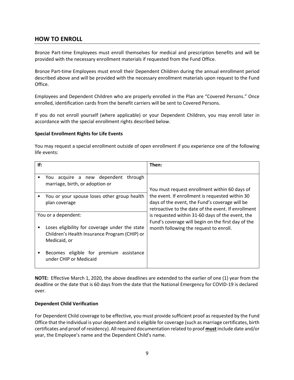# **HOW TO ENROLL**

Bronze Part-time Employees must enroll themselves for medical and prescription benefits and will be provided with the necessary enrollment materials if requested from the Fund Office.

Bronze Part-time Employees must enroll their Dependent Children during the annual enrollment period described above and will be provided with the necessary enrollment materials upon request to the Fund Office.

Employees and Dependent Children who are properly enrolled in the Plan are "Covered Persons." Once enrolled, identification cards from the benefit carriers will be sent to Covered Persons.

If you do not enroll yourself (where applicable) or your Dependent Children, you may enroll later in accordance with the special enrollment rights described below.

#### **Special Enrollment Rights for Life Events**

You may request a special enrollment outside of open enrollment if you experience one of the following life events:

| If:                                                                                                             | Then:                                                                                                                                                    |
|-----------------------------------------------------------------------------------------------------------------|----------------------------------------------------------------------------------------------------------------------------------------------------------|
| You acquire a new dependent<br>through<br>marriage, birth, or adoption or                                       | You must request enrollment within 60 days of                                                                                                            |
| You or your spouse loses other group health<br>plan coverage                                                    | the event. If enrollment is requested within 30<br>days of the event, the Fund's coverage will be<br>retroactive to the date of the event. If enrollment |
| You or a dependent:                                                                                             | is requested within 31-60 days of the event, the                                                                                                         |
| Loses eligibility for coverage under the state<br>Children's Health Insurance Program (CHIP) or<br>Medicaid, or | Fund's coverage will begin on the first day of the<br>month following the request to enroll.                                                             |
| Becomes eligible for premium assistance<br>under CHIP or Medicaid                                               |                                                                                                                                                          |

**NOTE:** Effective March 1, 2020, the above deadlines are extended to the earlier of one (1) year from the deadline or the date that is 60 days from the date that the National Emergency for COVID-19 is declared over.

#### **Dependent Child Verification**

For Dependent Child coverage to be effective, you must provide sufficient proof as requested by the Fund Office that the individual is your dependent and is eligible for coverage (such as marriage certificates, birth certificates and proof of residency). All required documentation related to proof **must** include date and/or year, the Employee's name and the Dependent Child's name.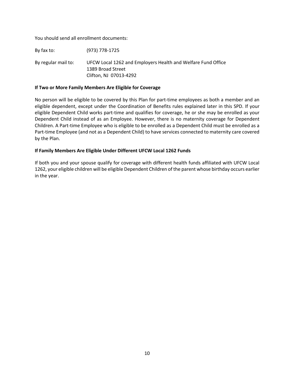You should send all enrollment documents:

By fax to: (973) 778-1725

By regular mail to: UFCW Local 1262 and Employers Health and Welfare Fund Office 1389 Broad Street Clifton, NJ 07013-4292

#### **If Two or More Family Members Are Eligible for Coverage**

No person will be eligible to be covered by this Plan for part-time employees as both a member and an eligible dependent, except under the Coordination of Benefits rules explained later in this SPD. If your eligible Dependent Child works part-time and qualifies for coverage, he or she may be enrolled as your Dependent Child instead of as an Employee. However, there is no maternity coverage for Dependent Children. A Part-time Employee who is eligible to be enrolled as a Dependent Child must be enrolled as a Part-time Employee (and not as a Dependent Child) to have services connected to maternity care covered by the Plan.

#### **If Family Members Are Eligible Under Different UFCW Local 1262 Funds**

If both you and your spouse qualify for coverage with different health funds affiliated with UFCW Local 1262, your eligible children will be eligible Dependent Children of the parent whose birthday occurs earlier in the year.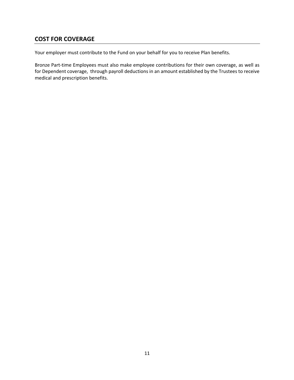# **COST FOR COVERAGE**

Your employer must contribute to the Fund on your behalf for you to receive Plan benefits.

Bronze Part-time Employees must also make employee contributions for their own coverage, as well as for Dependent coverage, through payroll deductions in an amount established by the Trustees to receive medical and prescription benefits.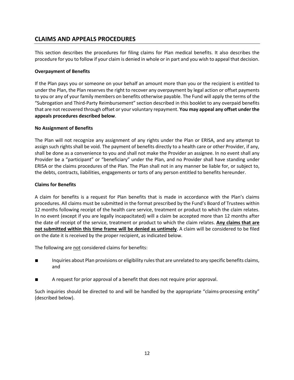# **CLAIMS AND APPEALS PROCEDURES**

This section describes the procedures for filing claims for Plan medical benefits. It also describes the procedure for you to follow if your claim is denied in whole or in part and you wish to appeal that decision.

#### **Overpayment of Benefits**

If the Plan pays you or someone on your behalf an amount more than you or the recipient is entitled to under the Plan, the Plan reserves the right to recover any overpayment by legal action or offset payments to you or any of your family members on benefits otherwise payable. The Fund will apply the terms of the "Subrogation and Third-Party Reimbursement" section described in this booklet to any overpaid benefits that are not recovered through offset or your voluntary repayment. **You may appeal any offset under the appeals procedures described below**.

#### **No Assignment of Benefits**

The Plan will not recognize any assignment of any rights under the Plan or ERISA, and any attempt to assign such rights shall be void. The payment of benefits directly to a health care or other Provider, if any, shall be done as a convenience to you and shall not make the Provider an assignee. In no event shall any Provider be a "participant" or "beneficiary" under the Plan, and no Provider shall have standing under ERISA or the claims procedures of the Plan. The Plan shall not in any manner be liable for, or subject to, the debts, contracts, liabilities, engagements or torts of any person entitled to benefits hereunder.

#### **Claims for Benefits**

A claim for benefits is a request for Plan benefits that is made in accordance with the Plan's claims procedures. All claims must be submitted in the format prescribed by the Fund's Board of Trustees within 12 months following receipt of the health care service, treatment or product to which the claim relates. In no event (except if you are legally incapacitated) will a claim be accepted more than 12 months after the date of receipt of the service, treatment or product to which the claim relates. **Any claims that are not submitted within this time frame will be denied as untimely**. A claim will be considered to be filed on the date it is received by the proper recipient, as indicated below.

The following are not considered claims for benefits:

- Inquiries about Plan provisions or eligibility rules that are unrelated to any specific benefits claims, and
- A request for prior approval of a benefit that does not require prior approval.

Such inquiries should be directed to and will be handled by the appropriate "claims-processing entity" (described below).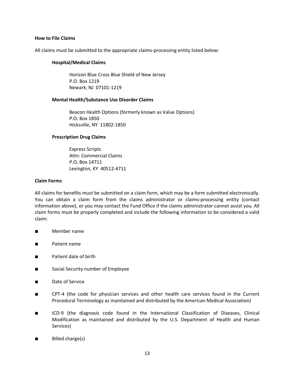#### **How to File Claims**

All claims must be submitted to the appropriate claims-processing entity listed below:

#### **Hospital/Medical Claims**

Horizon Blue Cross Blue Shield of New Jersey P.O. Box 1219 Newark, NJ 07101-1219

#### **Mental Health/Substance Use Disorder Claims**

Beacon Health Options (formerly known as Value Options) P.O. Box 1850 Hicksville, NY 11802-1850

#### **Prescription Drug Claims**

Express Scripts Attn: Commercial Claims P.O. Box 14711 Lexington, KY 40512-4711

#### **Claim Forms**

All claims for benefits must be submitted on a claim form, which may be a form submitted electronically. You can obtain a claim form from the claims administrator or claims-processing entity (contact information above), or you may contact the Fund Office if the claims administrator cannot assist you. All claim forms must be properly completed and include the following information to be considered a valid claim:

- Member name
- Patient name
- Patient date of birth
- Social Security number of Employee
- Date of Service
- CPT-4 (the code for physician services and other health care services found in the Current Procedural Terminology as maintained and distributed by the American Medical Association)
- ICD-9 (the diagnosis code found in the International Classification of Diseases, Clinical Modification as maintained and distributed by the U.S. Department of Health and Human Services)
- Billed charge(s)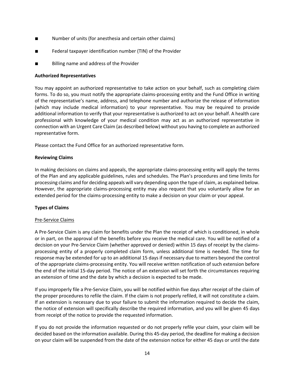- Number of units (for anesthesia and certain other claims)
- Federal taxpayer identification number (TIN) of the Provider
- Billing name and address of the Provider

#### **Authorized Representatives**

You may appoint an authorized representative to take action on your behalf, such as completing claim forms. To do so, you must notify the appropriate claims-processing entity and the Fund Office in writing of the representative's name, address, and telephone number and authorize the release of information (which may include medical information) to your representative. You may be required to provide additional information to verify that your representative is authorized to act on your behalf. A health care professional with knowledge of your medical condition may act as an authorized representative in connection with an Urgent Care Claim (as described below) without you having to complete an authorized representative form.

Please contact the Fund Office for an authorized representative form.

#### **Reviewing Claims**

In making decisions on claims and appeals, the appropriate claims-processing entity will apply the terms of the Plan and any applicable guidelines, rules and schedules. The Plan's procedures and time limits for processing claims and for deciding appeals will vary depending upon the type of claim, as explained below. However, the appropriate claims-processing entity may also request that you voluntarily allow for an extended period for the claims-processing entity to make a decision on your claim or your appeal.

#### **Types of Claims**

#### Pre-Service Claims

A Pre-Service Claim is any claim for benefits under the Plan the receipt of which is conditioned, in whole or in part, on the approval of the benefits before you receive the medical care. You will be notified of a decision on your Pre-Service Claim (whether approved or denied) within 15 days of receipt by the claimsprocessing entity of a properly completed claim form, unless additional time is needed. The time for response may be extended for up to an additional 15 days if necessary due to matters beyond the control of the appropriate claims-processing entity. You will receive written notification of such extension before the end of the initial 15-day period. The notice of an extension will set forth the circumstances requiring an extension of time and the date by which a decision is expected to be made.

If you improperly file a Pre-Service Claim, you will be notified within five days after receipt of the claim of the proper procedures to refile the claim. If the claim is not properly refiled, it will not constitute a claim. If an extension is necessary due to your failure to submit the information required to decide the claim, the notice of extension will specifically describe the required information, and you will be given 45 days from receipt of the notice to provide the requested information.

If you do not provide the information requested or do not properly refile your claim, your claim will be decided based on the information available. During this 45-day period, the deadline for making a decision on your claim will be suspended from the date of the extension notice for either 45 days or until the date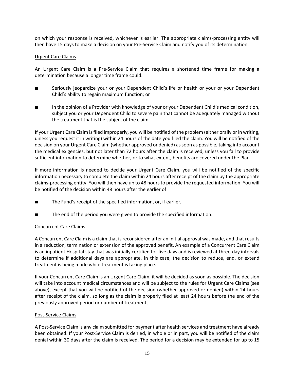on which your response is received, whichever is earlier. The appropriate claims-processing entity will then have 15 days to make a decision on your Pre-Service Claim and notify you of its determination.

#### Urgent Care Claims

An Urgent Care Claim is a Pre-Service Claim that requires a shortened time frame for making a determination because a longer time frame could:

- Seriously jeopardize your or your Dependent Child's life or health or your or your Dependent Child's ability to regain maximum function; or
- In the opinion of a Provider with knowledge of your or your Dependent Child's medical condition, subject you or your Dependent Child to severe pain that cannot be adequately managed without the treatment that is the subject of the claim.

If your Urgent Care Claim is filed improperly, you will be notified of the problem (either orally or in writing, unless you request it in writing) within 24 hours of the date you filed the claim. You will be notified of the decision on your Urgent Care Claim (whether approved or denied) as soon as possible, taking into account the medical exigencies, but not later than 72 hours after the claim is received, unless you fail to provide sufficient information to determine whether, or to what extent, benefits are covered under the Plan.

If more information is needed to decide your Urgent Care Claim, you will be notified of the specific information necessary to complete the claim within 24 hours after receipt of the claim by the appropriate claims-processing entity. You will then have up to 48 hours to provide the requested information. You will be notified of the decision within 48 hours after the earlier of:

- The Fund's receipt of the specified information, or, if earlier,
- The end of the period you were given to provide the specified information.

#### Concurrent Care Claims

A Concurrent Care Claim is a claim that is reconsidered after an initial approval was made, and that results in a reduction, termination or extension of the approved benefit. An example of a Concurrent Care Claim is an inpatient Hospital stay that was initially certified for five days and is reviewed at three-day intervals to determine if additional days are appropriate. In this case, the decision to reduce, end, or extend treatment is being made while treatment is taking place.

If your Concurrent Care Claim is an Urgent Care Claim, it will be decided as soon as possible. The decision will take into account medical circumstances and will be subject to the rules for Urgent Care Claims (see above), except that you will be notified of the decision (whether approved or denied) within 24 hours after receipt of the claim, so long as the claim is properly filed at least 24 hours before the end of the previously approved period or number of treatments.

#### Post-Service Claims

A Post-Service Claim is any claim submitted for payment after health services and treatment have already been obtained. If your Post-Service Claim is denied, in whole or in part, you will be notified of the claim denial within 30 days after the claim is received. The period for a decision may be extended for up to 15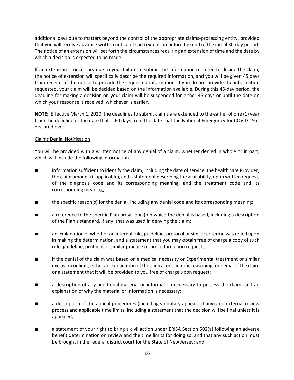additional days due to matters beyond the control of the appropriate claims-processing entity, provided that you will receive advance written notice of such extension before the end of the initial 30-day period. The notice of an extension will set forth the circumstances requiring an extension of time and the date by which a decision is expected to be made.

If an extension is necessary due to your failure to submit the information required to decide the claim, the notice of extension will specifically describe the required information, and you will be given 45 days from receipt of the notice to provide the requested information. If you do not provide the information requested, your claim will be decided based on the information available. During this 45-day period, the deadline for making a decision on your claim will be suspended for either 45 days or until the date on which your response is received, whichever is earlier.

**NOTE:** Effective March 1, 2020, the deadlines to submit claims are extended to the earlier of one (1) year from the deadline or the date that is 60 days from the date that the National Emergency for COVID-19 is declared over.

#### Claims Denial Notification

You will be provided with a written notice of any denial of a claim, whether denied in whole or in part, which will include the following information:

- information sufficient to identify the claim, including the date of service, the health care Provider, the claim amount (if applicable), and a statement describing the availability, upon written request, of the diagnosis code and its corresponding meaning, and the treatment code and its corresponding meaning;
- the specific reason(s) for the denial, including any denial code and its corresponding meaning;
- a reference to the specific Plan provision(s) on which the denial is based, including a description of the Plan's standard, if any, that was used in denying the claim;
- an explanation of whether an internal rule, guideline, protocol or similar criterion was relied upon in making the determination, and a statement that you may obtain free of charge a copy of such rule, guideline, protocol or similar practice or procedure upon request;
- if the denial of the claim was based on a medical necessity or Experimental treatment or similar exclusion or limit, either an explanation of the clinical or scientific reasoning for denial of the claim or a statement that it will be provided to you free of charge upon request;
- a description of any additional material or information necessary to process the claim, and an explanation of why the material or information is necessary;
- a description of the appeal procedures (including voluntary appeals, if any) and external review process and applicable time limits, including a statement that the decision will be final unless it is appealed;
- a statement of your right to bring a civil action under ERISA Section 502(a) following an adverse benefit determination on review and the time limits for doing so, and that any such action must be brought in the federal district court for the State of New Jersey; and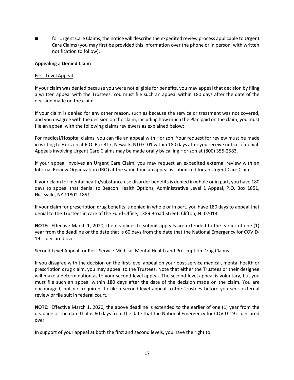■ for Urgent Care Claims, the notice will describe the expedited review process applicable to Urgent Care Claims (you may first be provided this information over the phone or in person, with written notification to follow).

#### **Appealing a Denied Claim**

#### First-Level Appeal

If your claim was denied because you were not eligible for benefits, you may appeal that decision by filing a written appeal with the Trustees. You must file such an appeal within 180 days after the date of the decision made on the claim.

If your claim is denied for any other reason, such as because the service or treatment was not covered, and you disagree with the decision on the claim, including how much the Plan paid on the claim, you must file an appeal with the following claims reviewers as explained below:

For medical/Hospital claims, you can file an appeal with Horizon. Your request for review must be made in writing to Horizon at P.O. Box 317, Newark, NJ 07101 within 180 days after you receive notice of denial. Appeals involving Urgent Care Claims may be made orally by calling Horizon at (800) 355-2583.

If your appeal involves an Urgent Care Claim, you may request an expedited external review with an Internal Review Organization (IRO) at the same time an appeal is submitted for an Urgent Care Claim.

If your claim for mental health/substance use disorder benefits is denied in whole or in part, you have 180 days to appeal that denial to Beacon Health Options, Administrative Level 1 Appeal, P.O. Box 1851, Hicksville, NY 11802-1851.

If your claim for prescription drug benefits is denied in whole or in part, you have 180 days to appeal that denial to the Trustees in care of the Fund Office, 1389 Broad Street, Clifton, NJ 07013.

**NOTE:** Effective March 1, 2020, the deadlines to submit appeals are extended to the earlier of one (1) year from the deadline or the date that is 60 days from the date that the National Emergency for COVID-19 is declared over.

#### Second-Level Appeal for Post-Service Medical, Mental Health and Prescription Drug Claims

If you disagree with the decision on the first-level appeal on your post-service medical, mental health or prescription drug claim, you may appeal to the Trustees. Note that either the Trustees or their designee will make a determination as to your second-level appeal. The second-level appeal is voluntary, but you must file such an appeal within 180 days after the date of the decision made on the claim. You are encouraged, but not required, to file a second-level appeal to the Trustees before you seek external review or file suit in federal court.

**NOTE:** Effective March 1, 2020, the above deadline is extended to the earlier of one (1) year from the deadline or the date that is 60 days from the date that the National Emergency for COVID-19 is declared over.

In support of your appeal at both the first and second levels, you have the right to: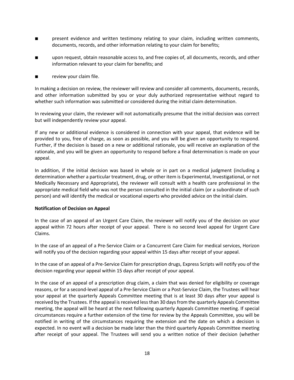- present evidence and written testimony relating to your claim, including written comments, documents, records, and other information relating to your claim for benefits;
- upon request, obtain reasonable access to, and free copies of, all documents, records, and other information relevant to your claim for benefits; and
- review your claim file.

In making a decision on review, the reviewer will review and consider all comments, documents, records, and other information submitted by you or your duly authorized representative without regard to whether such information was submitted or considered during the initial claim determination.

In reviewing your claim, the reviewer will not automatically presume that the initial decision was correct but will independently review your appeal.

If any new or additional evidence is considered in connection with your appeal, that evidence will be provided to you, free of charge, as soon as possible, and you will be given an opportunity to respond. Further, if the decision is based on a new or additional rationale, you will receive an explanation of the rationale, and you will be given an opportunity to respond before a final determination is made on your appeal.

In addition, if the initial decision was based in whole or in part on a medical judgment (including a determination whether a particular treatment, drug, or other item is Experimental, Investigational, or not Medically Necessary and Appropriate), the reviewer will consult with a health care professional in the appropriate medical field who was not the person consulted in the initial claim (or a subordinate of such person) and will identify the medical or vocational experts who provided advice on the initial claim.

#### **Notification of Decision on Appeal**

In the case of an appeal of an Urgent Care Claim, the reviewer will notify you of the decision on your appeal within 72 hours after receipt of your appeal. There is no second level appeal for Urgent Care Claims.

In the case of an appeal of a Pre-Service Claim or a Concurrent Care Claim for medical services, Horizon will notify you of the decision regarding your appeal within 15 days after receipt of your appeal.

In the case of an appeal of a Pre-Service Claim for prescription drugs, Express Scripts will notify you of the decision regarding your appeal within 15 days after receipt of your appeal.

In the case of an appeal of a prescription drug claim, a claim that was denied for eligibility or coverage reasons, or for a second-level appeal of a Pre-Service Claim or a Post-Service Claim, the Trustees will hear your appeal at the quarterly Appeals Committee meeting that is at least 30 days after your appeal is received by the Trustees. If the appeal is received less than 30 days from the quarterly Appeals Committee meeting, the appeal will be heard at the next following quarterly Appeals Committee meeting. If special circumstances require a further extension of the time for review by the Appeals Committee, you will be notified in writing of the circumstances requiring the extension and the date on which a decision is expected. In no event will a decision be made later than the third quarterly Appeals Committee meeting after receipt of your appeal. The Trustees will send you a written notice of their decision (whether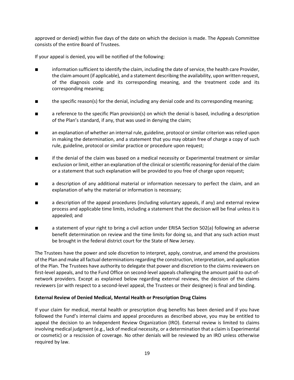approved or denied) within five days of the date on which the decision is made. The Appeals Committee consists of the entire Board of Trustees.

If your appeal is denied, you will be notified of the following:

- information sufficient to identify the claim, including the date of service, the health care Provider, the claim amount (if applicable), and a statement describing the availability, upon written request, of the diagnosis code and its corresponding meaning, and the treatment code and its corresponding meaning;
- the specific reason(s) for the denial, including any denial code and its corresponding meaning;
- a reference to the specific Plan provision(s) on which the denial is based, including a description of the Plan's standard, if any, that was used in denying the claim;
- an explanation of whether an internal rule, guideline, protocol or similar criterion was relied upon in making the determination, and a statement that you may obtain free of charge a copy of such rule, guideline, protocol or similar practice or procedure upon request;
- if the denial of the claim was based on a medical necessity or Experimental treatment or similar exclusion or limit, either an explanation of the clinical or scientific reasoning for denial of the claim or a statement that such explanation will be provided to you free of charge upon request;
- a description of any additional material or information necessary to perfect the claim, and an explanation of why the material or information is necessary;
- a description of the appeal procedures (including voluntary appeals, if any) and external review process and applicable time limits, including a statement that the decision will be final unless it is appealed; and
- a statement of your right to bring a civil action under ERISA Section 502(a) following an adverse benefit determination on review and the time limits for doing so, and that any such action must be brought in the federal district court for the State of New Jersey.

The Trustees have the power and sole discretion to interpret, apply, construe, and amend the provisions of the Plan and make all factual determinations regarding the construction, interpretation, and application of the Plan. The Trustees have authority to delegate that power and discretion to the claims reviewers on first-level appeals, and to the Fund Office on second-level appeals challenging the amount paid to out-ofnetwork providers. Except as explained below regarding external reviews, the decision of the claims reviewers (or with respect to a second-level appeal, the Trustees or their designee) is final and binding.

#### **External Review of Denied Medical, Mental Health or Prescription Drug Claims**

If your claim for medical, mental health or prescription drug benefits has been denied and if you have followed the Fund's internal claims and appeal procedures as described above, you may be entitled to appeal the decision to an Independent Review Organization (IRO). External review is limited to claims involving medical judgment (e.g., lack of medical necessity, or a determination that a claim is Experimental or cosmetic) or a rescission of coverage. No other denials will be reviewed by an IRO unless otherwise required by law.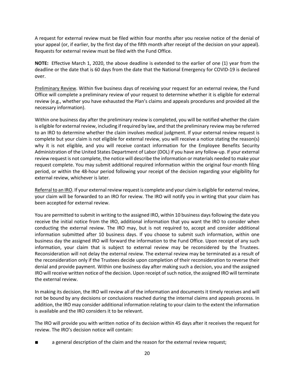A request for external review must be filed within four months after you receive notice of the denial of your appeal (or, if earlier, by the first day of the fifth month after receipt of the decision on your appeal). Requests for external review must be filed with the Fund Office.

**NOTE:** Effective March 1, 2020, the above deadline is extended to the earlier of one (1) year from the deadline or the date that is 60 days from the date that the National Emergency for COVID-19 is declared over.

Preliminary Review. Within five business days of receiving your request for an external review, the Fund Office will complete a preliminary review of your request to determine whether it is eligible for external review (e.g., whether you have exhausted the Plan's claims and appeals procedures and provided all the necessary information).

Within one business day after the preliminary review is completed, you will be notified whether the claim is eligible for external review, including if required by law, and that the preliminary review may be referred to an IRO to determine whether the claim involves medical judgment. If your external review request is complete but your claim is not eligible for external review, you will receive a notice stating the reason(s) why it is not eligible, and you will receive contact information for the Employee Benefits Security Administration of the United States Department of Labor (DOL) if you have any follow-up. If your external review request is not complete, the notice will describe the information or materials needed to make your request complete. You may submit additional required information within the original four-month filing period, or within the 48-hour period following your receipt of the decision regarding your eligibility for external review, whichever is later.

Referral to an IRO. If your external review request is complete and your claim is eligible for external review, your claim will be forwarded to an IRO for review. The IRO will notify you in writing that your claim has been accepted for external review.

You are permitted to submit in writing to the assigned IRO, within 10 business days following the date you receive the initial notice from the IRO, additional information that you want the IRO to consider when conducting the external review. The IRO may, but is not required to, accept and consider additional information submitted after 10 business days. If you choose to submit such information, within one business day the assigned IRO will forward the information to the Fund Office. Upon receipt of any such information, your claim that is subject to external review may be reconsidered by the Trustees. Reconsideration will not delay the external review. The external review may be terminated as a result of the reconsideration only if the Trustees decide upon completion of their reconsideration to reverse their denial and provide payment. Within one business day after making such a decision, you and the assigned IRO will receive written notice of the decision. Upon receipt of such notice, the assigned IRO will terminate the external review.

In making its decision, the IRO will review all of the information and documents it timely receives and will not be bound by any decisions or conclusions reached during the internal claims and appeals process. In addition, the IRO may consider additional information relating to your claim to the extent the information is available and the IRO considers it to be relevant.

The IRO will provide you with written notice of its decision within 45 days after it receives the request for review. The IRO's decision notice will contain:

a general description of the claim and the reason for the external review request;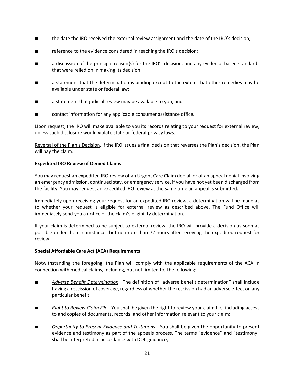- the date the IRO received the external review assignment and the date of the IRO's decision;
- reference to the evidence considered in reaching the IRO's decision;
- a discussion of the principal reason(s) for the IRO's decision, and any evidence-based standards that were relied on in making its decision;
- a statement that the determination is binding except to the extent that other remedies may be available under state or federal law;
- a statement that judicial review may be available to you; and
- contact information for any applicable consumer assistance office.

Upon request, the IRO will make available to you its records relating to your request for external review, unless such disclosure would violate state or federal privacy laws.

Reversal of the Plan's Decision. If the IRO issues a final decision that reverses the Plan's decision, the Plan will pay the claim.

## **Expedited IRO Review of Denied Claims**

You may request an expedited IRO review of an Urgent Care Claim denial, or of an appeal denial involving an emergency admission, continued stay, or emergency service, if you have not yet been discharged from the facility. You may request an expedited IRO review at the same time an appeal is submitted.

Immediately upon receiving your request for an expedited IRO review, a determination will be made as to whether your request is eligible for external review as described above. The Fund Office will immediately send you a notice of the claim's eligibility determination.

If your claim is determined to be subject to external review, the IRO will provide a decision as soon as possible under the circumstances but no more than 72 hours after receiving the expedited request for review.

## **Special Affordable Care Act (ACA) Requirements**

Notwithstanding the foregoing, the Plan will comply with the applicable requirements of the ACA in connection with medical claims, including, but not limited to, the following:

- *Adverse Benefit Determination*. The definition of "adverse benefit determination" shall include having a rescission of coverage, regardless of whether the rescission had an adverse effect on any particular benefit;
- *Right to Review Claim File*. You shall be given the right to review your claim file, including access to and copies of documents, records, and other information relevant to your claim;
- Opportunity to Present Evidence and Testimony. You shall be given the opportunity to present evidence and testimony as part of the appeals process. The terms "evidence" and "testimony" shall be interpreted in accordance with DOL guidance;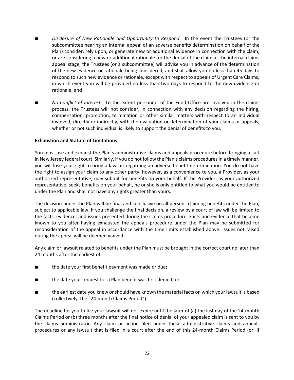- **Disclosure of New Rationale and Opportunity to Respond**. In the event the Trustees (or the subcommittee hearing an internal appeal of an adverse benefits determination on behalf of the Plan) consider, rely upon, or generate new or additional evidence in connection with the claim, or are considering a new or additional rationale for the denial of the claim at the internal claims appeal stage, the Trustees (or a subcommittee) will advise you in advance of the determination of the new evidence or rationale being considered, and shall allow you no less than 45 days to respond to such new evidence or rationale, except with respect to appeals of Urgent Care Claims, in which event you will be provided no less than two days to respond to the new evidence or rationale; and
- No Conflict of Interest. To the extent personnel of the Fund Office are involved in the claims process, the Trustees will not consider, in connection with any decision regarding the hiring, compensation, promotion, termination or other similar matters with respect to an individual involved, directly or indirectly, with the evaluation or determination of your claims or appeals, whether or not such individual is likely to support the denial of benefits to you.

#### **Exhaustion and Statute of Limitations**

You must use and exhaust the Plan's administrative claims and appeals procedure before bringing a suit in New Jersey federal court. Similarly, if you do not follow the Plan's claims procedures in a timely manner, you will lose your right to bring a lawsuit regarding an adverse benefit determination. You do not have the right to assign your claim to any other party; however, as a convenience to you, a Provider, as your authorized representative, may submit for benefits on your behalf. If the Provider, as your authorized representative, seeks benefits on your behalf, he or she is only entitled to what you would be entitled to under the Plan and shall not have any rights greater than yours.

The decision under the Plan will be final and conclusive on all persons claiming benefits under the Plan, subject to applicable law. If you challenge the final decision, a review by a court of law will be limited to the facts, evidence, and issues presented during the claims procedure. Facts and evidence that become known to you after having exhausted the appeals procedure under the Plan may be submitted for reconsideration of the appeal in accordance with the time limits established above. Issues not raised during the appeal will be deemed waived.

Any claim or lawsuit related to benefits under the Plan must be brought in the correct court no later than 24 months after the earliest of:

- the date your first benefit payment was made or due;
- the date your request for a Plan benefit was first denied; or
- the earliest date you knew or should have known the material facts on which your lawsuit is based (collectively, the "24-month Claims Period").

The deadline for you to file your lawsuit will not expire until the later of (a) the last day of the 24-month Claims Period or (b) three months after the final notice of denial of your appealed claim is sent to you by the claims administrator. Any claim or action filed under these administrative claims and appeals procedures or any lawsuit that is filed in a court after the end of this 24-month Claims Period (or, if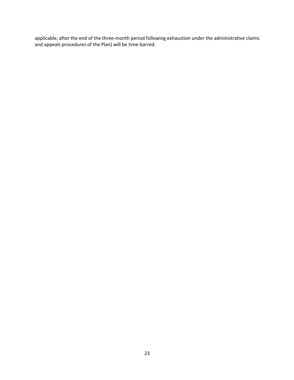applicable, after the end of the three-month period following exhaustion under the administrative claims and appeals procedures of the Plan) will be time-barred.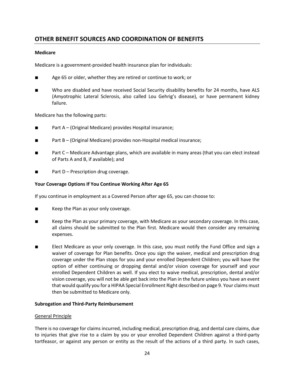# **OTHER BENEFIT SOURCES AND COORDINATION OF BENEFITS**

#### **Medicare**

Medicare is a government-provided health insurance plan for individuals:

- Age 65 or older, whether they are retired or continue to work; or
- Who are disabled and have received Social Security disability benefits for 24 months, have ALS (Amyotrophic Lateral Sclerosis, also called Lou Gehrig's disease), or have permanent kidney failure.

Medicare has the following parts:

- Part A (Original Medicare) provides Hospital insurance;
- Part B (Original Medicare) provides non-Hospital medical insurance;
- Part C Medicare Advantage plans, which are available in many areas (that you can elect instead of Parts A and B, if available); and
- Part D Prescription drug coverage.

#### **Your Coverage Options If You Continue Working After Age 65**

If you continue in employment as a Covered Person after age 65, you can choose to:

- Keep the Plan as your only coverage.
- Keep the Plan as your primary coverage, with Medicare as your secondary coverage. In this case, all claims should be submitted to the Plan first. Medicare would then consider any remaining expenses.
- Elect Medicare as your only coverage. In this case, you must notify the Fund Office and sign a waiver of coverage for Plan benefits. Once you sign the waiver, medical and prescription drug coverage under the Plan stops for you and your enrolled Dependent Children; you will have the option of either continuing or dropping dental and/or vision coverage for yourself and your enrolled Dependent Children as well. If you elect to waive medical, prescription, dental and/or vision coverage, you will not be able get back into the Plan in the future unless you have an event that would qualify you for a HIPAA Special Enrollment Right described on page 9. Your claims must then be submitted to Medicare only.

#### **Subrogation and Third-Party Reimbursement**

#### General Principle

There is no coverage for claims incurred, including medical, prescription drug, and dental care claims, due to injuries that give rise to a claim by you or your enrolled Dependent Children against a third-party tortfeasor, or against any person or entity as the result of the actions of a third party. In such cases,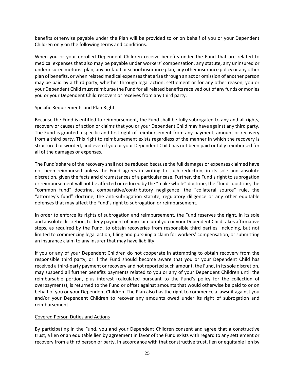benefits otherwise payable under the Plan will be provided to or on behalf of you or your Dependent Children only on the following terms and conditions.

When you or your enrolled Dependent Children receive benefits under the Fund that are related to medical expenses that also may be payable under workers' compensation, any statute, any uninsured or underinsured motorist plan, any no-fault orschool insurance plan, any other insurance policy or any other plan of benefits, or when related medical expenses that arise through an act or omission of another person may be paid by a third party, whether through legal action, settlement or for any other reason, you or your Dependent Child must reimburse the Fund for all related benefits received out of any funds or monies you or your Dependent Child recovers or receives from any third party.

#### Specific Requirements and Plan Rights

Because the Fund is entitled to reimbursement, the Fund shall be fully subrogated to any and all rights, recovery or causes of action or claims that you or your Dependent Child may have against any third party. The Fund is granted a specific and first right of reimbursement from any payment, amount or recovery from a third party. This right to reimbursement exists regardless of the manner in which the recovery is structured or worded, and even if you or your Dependent Child has not been paid or fully reimbursed for all of the damages or expenses.

The Fund's share of the recovery shall not be reduced because the full damages or expenses claimed have not been reimbursed unless the Fund agrees in writing to such reduction, in its sole and absolute discretion, given the facts and circumstances of a particular case. Further, the Fund's right to subrogation or reimbursement will not be affected or reduced by the "make whole" doctrine, the "fund" doctrine, the "common fund" doctrine, comparative/contributory negligence, the "collateral source" rule, the "attorney's fund" doctrine, the anti-subrogation statute, regulatory diligence or any other equitable defenses that may affect the Fund's right to subrogation or reimbursement.

In order to enforce its rights of subrogation and reimbursement, the Fund reserves the right, in its sole and absolute discretion, to deny payment of any claim until you or your Dependent Child takes affirmative steps, as required by the Fund, to obtain recoveries from responsible third parties, including, but not limited to commencing legal action, filing and pursuing a claim for workers' compensation, or submitting an insurance claim to any insurer that may have liability.

If you or any of your Dependent Children do not cooperate in attempting to obtain recovery from the responsible third party, or if the Fund should become aware that you or your Dependent Child has received a third-party payment or recovery and not reported such amount, the Fund, in its sole discretion, may suspend all further benefits payments related to you or any of your Dependent Children until the reimbursable portion, plus interest (calculated pursuant to the Fund's policy for the collection of overpayments), is returned to the Fund or offset against amounts that would otherwise be paid to or on behalf of you or your Dependent Children. The Plan also has the right to commence a lawsuit against you and/or your Dependent Children to recover any amounts owed under its right of subrogation and reimbursement.

#### Covered Person Duties and Actions

By participating in the Fund, you and your Dependent Children consent and agree that a constructive trust, a lien or an equitable lien by agreement in favor of the Fund exists with regard to any settlement or recovery from a third person or party. In accordance with that constructive trust, lien or equitable lien by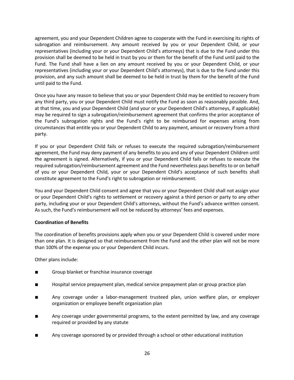agreement, you and your Dependent Children agree to cooperate with the Fund in exercising its rights of subrogation and reimbursement. Any amount received by you or your Dependent Child, or your representatives (including your or your Dependent Child's attorneys) that is due to the Fund under this provision shall be deemed to be held in trust by you or them for the benefit of the Fund until paid to the Fund. The Fund shall have a lien on any amount received by you or your Dependent Child, or your representatives (including your or your Dependent Child's attorneys), that is due to the Fund under this provision, and any such amount shall be deemed to be held in trust by them for the benefit of the Fund until paid to the Fund.

Once you have any reason to believe that you or your Dependent Child may be entitled to recovery from any third party, you or your Dependent Child must notify the Fund as soon as reasonably possible. And, at that time, you and your Dependent Child (and your or your Dependent Child's attorneys, if applicable) may be required to sign a subrogation/reimbursement agreement that confirms the prior acceptance of the Fund's subrogation rights and the Fund's right to be reimbursed for expenses arising from circumstances that entitle you or your Dependent Child to any payment, amount or recovery from a third party.

If you or your Dependent Child fails or refuses to execute the required subrogation/reimbursement agreement, the Fund may deny payment of any benefits to you and any of your Dependent Children until the agreement is signed. Alternatively, if you or your Dependent Child fails or refuses to execute the required subrogation/reimbursement agreement and the Fund nevertheless pays benefits to or on behalf of you or your Dependent Child, your or your Dependent Child's acceptance of such benefits shall constitute agreement to the Fund's right to subrogation or reimbursement.

You and your Dependent Child consent and agree that you or your Dependent Child shall not assign your or your Dependent Child's rights to settlement or recovery against a third person or party to any other party, including your or your Dependent Child's attorneys, without the Fund's advance written consent. As such, the Fund's reimbursement will not be reduced by attorneys' fees and expenses.

#### **Coordination of Benefits**

The coordination of benefits provisions apply when you or your Dependent Child is covered under more than one plan. It is designed so that reimbursement from the Fund and the other plan will not be more than 100% of the expense you or your Dependent Child incurs.

Other plans include:

- Group blanket or franchise insurance coverage
- Hospital service prepayment plan, medical service prepayment plan or group practice plan
- Any coverage under a labor-management trusteed plan, union welfare plan, or employer organization or employee benefit organization plan
- Any coverage under governmental programs, to the extent permitted by law, and any coverage required or provided by any statute
- Any coverage sponsored by or provided through a school or other educational institution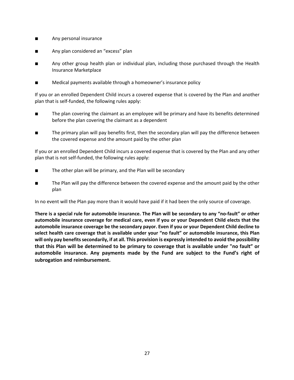- Any personal insurance
- Any plan considered an "excess" plan
- Any other group health plan or individual plan, including those purchased through the Health Insurance Marketplace
- Medical payments available through a homeowner's insurance policy

If you or an enrolled Dependent Child incurs a covered expense that is covered by the Plan and another plan that is self-funded, the following rules apply:

- The plan covering the claimant as an employee will be primary and have its benefits determined before the plan covering the claimant as a dependent
- The primary plan will pay benefits first, then the secondary plan will pay the difference between the covered expense and the amount paid by the other plan

If you or an enrolled Dependent Child incurs a covered expense that is covered by the Plan and any other plan that is not self-funded, the following rules apply:

- The other plan will be primary, and the Plan will be secondary
- The Plan will pay the difference between the covered expense and the amount paid by the other plan

In no event will the Plan pay more than it would have paid if it had been the only source of coverage.

**There is a special rule for automobile insurance. The Plan will be secondary to any "no-fault" or other automobile insurance coverage for medical care, even if you or your Dependent Child elects that the automobile insurance coverage be the secondary payor. Even if you or your Dependent Child decline to select health care coverage that is available under your "no fault" or automobile insurance, this Plan will only pay benefits secondarily, if at all. This provision is expressly intended to avoid the possibility that this Plan will be determined to be primary to coverage that is available under "no fault" or automobile insurance. Any payments made by the Fund are subject to the Fund's right of subrogation and reimbursement.**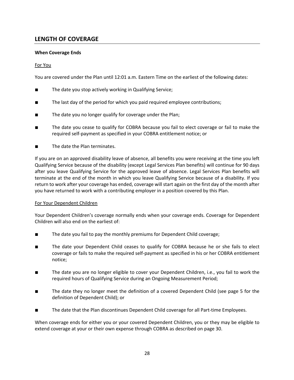# **LENGTH OF COVERAGE**

### **When Coverage Ends**

#### For You

You are covered under the Plan until 12:01 a.m. Eastern Time on the earliest of the following dates:

- The date you stop actively working in Qualifying Service;
- The last day of the period for which you paid required employee contributions;
- The date you no longer qualify for coverage under the Plan;
- The date you cease to qualify for COBRA because you fail to elect coverage or fail to make the required self-payment as specified in your COBRA entitlement notice; or
- The date the Plan terminates.

If you are on an approved disability leave of absence, all benefits you were receiving at the time you left Qualifying Service because of the disability (except Legal Services Plan benefits) will continue for 90 days after you leave Qualifying Service for the approved leave of absence. Legal Services Plan benefits will terminate at the end of the month in which you leave Qualifying Service because of a disability. If you return to work after your coverage has ended, coverage will start again on the first day of the month after you have returned to work with a contributing employer in a position covered by this Plan.

#### For Your Dependent Children

Your Dependent Children's coverage normally ends when your coverage ends. Coverage for Dependent Children will also end on the earliest of:

- The date you fail to pay the monthly premiums for Dependent Child coverage;
- The date your Dependent Child ceases to qualify for COBRA because he or she fails to elect coverage or fails to make the required self-payment as specified in his or her COBRA entitlement notice;
- The date you are no longer eligible to cover your Dependent Children, i.e., you fail to work the required hours of Qualifying Service during an Ongoing Measurement Period;
- The date they no longer meet the definition of a covered Dependent Child (see page 5 for the definition of Dependent Child); or
- The date that the Plan discontinues Dependent Child coverage for all Part-time Employees.

When coverage ends for either you or your covered Dependent Children, you or they may be eligible to extend coverage at your or their own expense through COBRA as described on page 30.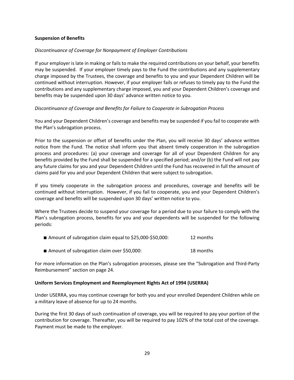#### **Suspension of Benefits**

#### *Discontinuance of Coverage for Nonpayment of Employer Contributions*

If your employer is late in making or fails to make the required contributions on your behalf, your benefits may be suspended. If your employer timely pays to the Fund the contributions and any supplementary charge imposed by the Trustees, the coverage and benefits to you and your Dependent Children will be continued without interruption. However, if your employer fails or refuses to timely pay to the Fund the contributions and any supplementary charge imposed, you and your Dependent Children's coverage and benefits may be suspended upon 30 days' advance written notice to you.

#### *Discontinuance of Coverage and Benefits for Failure to Cooperate in Subrogation Process*

You and your Dependent Children's coverage and benefits may be suspended if you fail to cooperate with the Plan's subrogation process.

Prior to the suspension or offset of benefits under the Plan, you will receive 30 days' advance written notice from the Fund. The notice shall inform you that absent timely cooperation in the subrogation process and procedures: (a) your coverage and coverage for all of your Dependent Children for any benefits provided by the Fund shall be suspended for a specified period; and/or (b) the Fund will not pay any future claims for you and your Dependent Children until the Fund has recovered in full the amount of claims paid for you and your Dependent Children that were subject to subrogation.

If you timely cooperate in the subrogation process and procedures, coverage and benefits will be continued without interruption. However, if you fail to cooperate, you and your Dependent Children's coverage and benefits will be suspended upon 30 days' written notice to you.

Where the Trustees decide to suspend your coverage for a period due to your failure to comply with the Plan's subrogation process, benefits for you and your dependents will be suspended for the following periods:

| ■ Amount of subrogation claim equal to \$25,000-\$50,000: | 12 months |
|-----------------------------------------------------------|-----------|
|                                                           |           |

■ Amount of subrogation claim over \$50,000: 18 months

For more information on the Plan's subrogation processes, please see the "Subrogation and Third-Party Reimbursement" section on page 24.

#### **Uniform Services Employment and Reemployment Rights Act of 1994 (USERRA)**

Under USERRA, you may continue coverage for both you and your enrolled Dependent Children while on a military leave of absence for up to 24 months.

During the first 30 days of such continuation of coverage, you will be required to pay your portion of the contribution for coverage. Thereafter, you will be required to pay 102% of the total cost of the coverage. Payment must be made to the employer.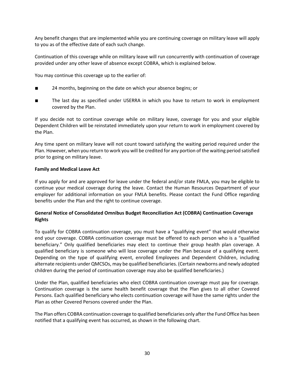Any benefit changes that are implemented while you are continuing coverage on military leave will apply to you as of the effective date of each such change.

Continuation of this coverage while on military leave will run concurrently with continuation of coverage provided under any other leave of absence except COBRA, which is explained below.

You may continue this coverage up to the earlier of:

- 24 months, beginning on the date on which your absence begins; or
- The last day as specified under USERRA in which you have to return to work in employment covered by the Plan.

If you decide not to continue coverage while on military leave, coverage for you and your eligible Dependent Children will be reinstated immediately upon your return to work in employment covered by the Plan.

Any time spent on military leave will not count toward satisfying the waiting period required under the Plan. However, when you return to work you will be credited for any portion of the waiting period satisfied prior to going on military leave.

#### **Family and Medical Leave Act**

If you apply for and are approved for leave under the federal and/or state FMLA, you may be eligible to continue your medical coverage during the leave. Contact the Human Resources Department of your employer for additional information on your FMLA benefits. Please contact the Fund Office regarding benefits under the Plan and the right to continue coverage.

#### **General Notice of Consolidated Omnibus Budget Reconciliation Act (COBRA) Continuation Coverage Rights**

To qualify for COBRA continuation coverage, you must have a "qualifying event" that would otherwise end your coverage. COBRA continuation coverage must be offered to each person who is a "qualified beneficiary." Only qualified beneficiaries may elect to continue their group health plan coverage. A qualified beneficiary is someone who will lose coverage under the Plan because of a qualifying event. Depending on the type of qualifying event, enrolled Employees and Dependent Children, including alternate recipients under QMCSOs, may be qualified beneficiaries. (Certain newborns and newly adopted children during the period of continuation coverage may also be qualified beneficiaries.)

Under the Plan, qualified beneficiaries who elect COBRA continuation coverage must pay for coverage. Continuation coverage is the same health benefit coverage that the Plan gives to all other Covered Persons. Each qualified beneficiary who elects continuation coverage will have the same rights under the Plan as other Covered Persons covered under the Plan.

The Plan offers COBRA continuation coverage to qualified beneficiaries only after the Fund Office has been notified that a qualifying event has occurred, as shown in the following chart.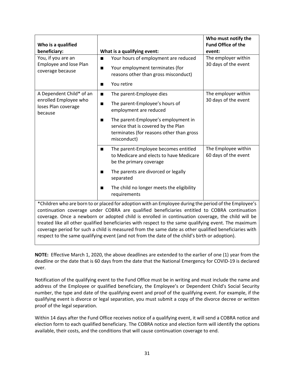| Who is a qualified<br>beneficiary:                                                                                                                                                                                                                                                                         | What is a qualifying event:                                                                                                                                                                                                                               | Who must notify the<br><b>Fund Office of the</b><br>event: |
|------------------------------------------------------------------------------------------------------------------------------------------------------------------------------------------------------------------------------------------------------------------------------------------------------------|-----------------------------------------------------------------------------------------------------------------------------------------------------------------------------------------------------------------------------------------------------------|------------------------------------------------------------|
| You, if you are an<br><b>Employee and lose Plan</b><br>coverage because                                                                                                                                                                                                                                    | Your hours of employment are reduced<br>$\blacksquare$<br>Your employment terminates (for<br>$\blacksquare$<br>reasons other than gross misconduct)<br>You retire<br>■                                                                                    | The employer within<br>30 days of the event                |
| A Dependent Child* of an<br>enrolled Employee who<br>loses Plan coverage<br>because                                                                                                                                                                                                                        | The parent-Employee dies<br>$\blacksquare$<br>The parent-Employee's hours of<br>п<br>employment are reduced<br>The parent-Employee's employment in<br>п<br>service that is covered by the Plan<br>terminates (for reasons other than gross<br>misconduct) | The employer within<br>30 days of the event                |
|                                                                                                                                                                                                                                                                                                            | The parent-Employee becomes entitled<br>$\blacksquare$<br>to Medicare and elects to have Medicare<br>be the primary coverage<br>The parents are divorced or legally<br>п<br>separated<br>The child no longer meets the eligibility<br>п<br>requirements   | The Employee within<br>60 days of the event                |
| *Children who are born to or placed for adoption with an Employee during the period of the Employee's<br>continuation coverage under COBRA are qualified beneficiaries entitled to COBRA continuation<br>coverage. Once a newborn or adopted child is enrolled in continuation coverage, the child will be |                                                                                                                                                                                                                                                           |                                                            |

treated like all other qualified beneficiaries with respect to the same qualifying event. The maximum coverage period for such a child is measured from the same date as other qualified beneficiaries with respect to the same qualifying event (and not from the date of the child's birth or adoption).

**NOTE:** Effective March 1, 2020, the above deadlines are extended to the earlier of one (1) year from the deadline or the date that is 60 days from the date that the National Emergency for COVID-19 is declared over.

Notification of the qualifying event to the Fund Office must be in writing and must include the name and address of the Employee or qualified beneficiary, the Employee's or Dependent Child's Social Security number, the type and date of the qualifying event and proof of the qualifying event. For example, if the qualifying event is divorce or legal separation, you must submit a copy of the divorce decree or written proof of the legal separation.

Within 14 days after the Fund Office receives notice of a qualifying event, it will send a COBRA notice and election form to each qualified beneficiary. The COBRA notice and election form will identify the options available, their costs, and the conditions that will cause continuation coverage to end.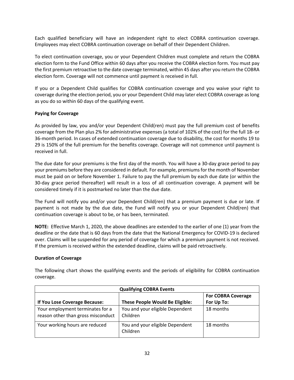Each qualified beneficiary will have an independent right to elect COBRA continuation coverage. Employees may elect COBRA continuation coverage on behalf of their Dependent Children.

To elect continuation coverage, you or your Dependent Children must complete and return the COBRA election form to the Fund Office within 60 days after you receive the COBRA election form. You must pay the first premium retroactive to the date coverage terminated, within 45 days after you return the COBRA election form. Coverage will not commence until payment is received in full.

If you or a Dependent Child qualifies for COBRA continuation coverage and you waive your right to coverage during the election period, you or your Dependent Child may later elect COBRA coverage as long as you do so within 60 days of the qualifying event.

#### **Paying for Coverage**

As provided by law, you and/or your Dependent Child(ren) must pay the full premium cost of benefits coverage from the Plan plus 2% for administrative expenses (a total of 102% of the cost) for the full 18- or 36-month period. In cases of extended continuation coverage due to disability, the cost for months 19 to 29 is 150% of the full premium for the benefits coverage. Coverage will not commence until payment is received in full.

The due date for your premiums is the first day of the month. You will have a 30-day grace period to pay your premiums before they are considered in default. For example, premiums for the month of November must be paid on or before November 1. Failure to pay the full premium by each due date (or within the 30-day grace period thereafter) will result in a loss of all continuation coverage. A payment will be considered timely if it is postmarked no later than the due date.

The Fund will notify you and/or your Dependent Child(ren) that a premium payment is due or late. If payment is not made by the due date, the Fund will notify you or your Dependent Child(ren) that continuation coverage is about to be, or has been, terminated.

**NOTE:** Effective March 1, 2020, the above deadlines are extended to the earlier of one (1) year from the deadline or the date that is 60 days from the date that the National Emergency for COVID-19 is declared over. Claims will be suspended for any period of coverage for which a premium payment is not received. If the premium is received within the extended deadline, claims will be paid retroactively.

#### **Duration of Coverage**

The following chart shows the qualifying events and the periods of eligibility for COBRA continuation coverage.

| <b>Qualifying COBRA Events</b>                                         |                                             |                           |  |
|------------------------------------------------------------------------|---------------------------------------------|---------------------------|--|
|                                                                        |                                             | <b>For COBRA Coverage</b> |  |
| If You Lose Coverage Because:                                          | These People Would Be Eligible:             | For Up To:                |  |
| Your employment terminates for a<br>reason other than gross misconduct | You and your eligible Dependent<br>Children | 18 months                 |  |
| Your working hours are reduced                                         | You and your eligible Dependent<br>Children | 18 months                 |  |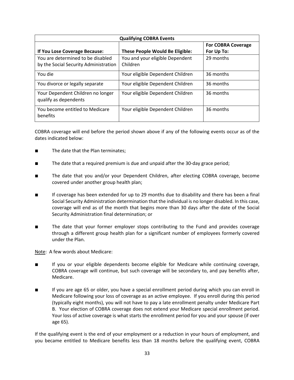| <b>Qualifying COBRA Events</b>                                             |                                             |                           |  |
|----------------------------------------------------------------------------|---------------------------------------------|---------------------------|--|
|                                                                            |                                             | <b>For COBRA Coverage</b> |  |
| If You Lose Coverage Because:                                              | <b>These People Would Be Eligible:</b>      | For Up To:                |  |
| You are determined to be disabled<br>by the Social Security Administration | You and your eligible Dependent<br>Children | 29 months                 |  |
| You die                                                                    | Your eligible Dependent Children            | 36 months                 |  |
| You divorce or legally separate                                            | Your eligible Dependent Children            | 36 months                 |  |
| Your Dependent Children no longer<br>qualify as dependents                 | Your eligible Dependent Children            | 36 months                 |  |
| You become entitled to Medicare<br>benefits                                | Your eligible Dependent Children            | 36 months                 |  |

COBRA coverage will end before the period shown above if any of the following events occur as of the dates indicated below:

- The date that the Plan terminates;
- The date that a required premium is due and unpaid after the 30-day grace period;
- The date that you and/or your Dependent Children, after electing COBRA coverage, become covered under another group health plan;
- If coverage has been extended for up to 29 months due to disability and there has been a final Social Security Administration determination that the individual is no longer disabled. In this case, coverage will end as of the month that begins more than 30 days after the date of the Social Security Administration final determination; or
- The date that your former employer stops contributing to the Fund and provides coverage through a different group health plan for a significant number of employees formerly covered under the Plan.

Note: A few words about Medicare:

- If you or your eligible dependents become eligible for Medicare while continuing coverage, COBRA coverage will continue, but such coverage will be secondary to, and pay benefits after, Medicare.
- If you are age 65 or older, you have a special enrollment period during which you can enroll in Medicare following your loss of coverage as an active employee. If you enroll during this period (typically eight months), you will not have to pay a late enrollment penalty under Medicare Part B. Your election of COBRA coverage does not extend your Medicare special enrollment period. Your loss of active coverage is what starts the enrollment period for you and your spouse (if over age 65).

If the qualifying event is the end of your employment or a reduction in your hours of employment, and you became entitled to Medicare benefits less than 18 months before the qualifying event, COBRA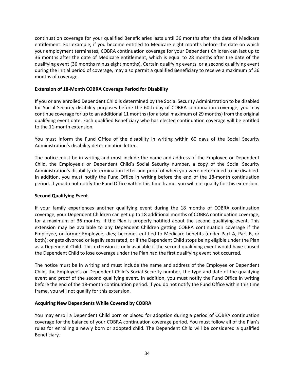continuation coverage for your qualified Beneficiaries lasts until 36 months after the date of Medicare entitlement. For example, if you become entitled to Medicare eight months before the date on which your employment terminates, COBRA continuation coverage for your Dependent Children can last up to 36 months after the date of Medicare entitlement, which is equal to 28 months after the date of the qualifying event (36 months minus eight months). Certain qualifying events, or a second qualifying event during the initial period of coverage, may also permit a qualified Beneficiary to receive a maximum of 36 months of coverage.

#### **Extension of 18-Month COBRA Coverage Period for Disability**

If you or any enrolled Dependent Child is determined by the Social Security Administration to be disabled for Social Security disability purposes before the 60th day of COBRA continuation coverage, you may continue coverage for up to an additional 11 months (for a total maximum of 29 months) from the original qualifying event date. Each qualified Beneficiary who has elected continuation coverage will be entitled to the 11-month extension.

You must inform the Fund Office of the disability in writing within 60 days of the Social Security Administration's disability determination letter.

The notice must be in writing and must include the name and address of the Employee or Dependent Child, the Employee's or Dependent Child's Social Security number, a copy of the Social Security Administration's disability determination letter and proof of when you were determined to be disabled. In addition, you must notify the Fund Office in writing before the end of the 18-month continuation period. If you do not notify the Fund Office within this time frame, you will not qualify for this extension.

#### **Second Qualifying Event**

If your family experiences another qualifying event during the 18 months of COBRA continuation coverage, your Dependent Children can get up to 18 additional months of COBRA continuation coverage, for a maximum of 36 months, if the Plan is properly notified about the second qualifying event. This extension may be available to any Dependent Children getting COBRA continuation coverage if the Employee, or former Employee, dies; becomes entitled to Medicare benefits (under Part A, Part B, or both); or gets divorced or legally separated, or if the Dependent Child stops being eligible under the Plan as a Dependent Child. This extension is only available if the second qualifying event would have caused the Dependent Child to lose coverage under the Plan had the first qualifying event not occurred.

The notice must be in writing and must include the name and address of the Employee or Dependent Child, the Employee's or Dependent Child's Social Security number, the type and date of the qualifying event and proof of the second qualifying event. In addition, you must notify the Fund Office in writing before the end of the 18-month continuation period. If you do not notify the Fund Office within this time frame, you will not qualify for this extension.

#### **Acquiring New Dependents While Covered by COBRA**

You may enroll a Dependent Child born or placed for adoption during a period of COBRA continuation coverage for the balance of your COBRA continuation coverage period. You must follow all of the Plan's rules for enrolling a newly born or adopted child. The Dependent Child will be considered a qualified Beneficiary.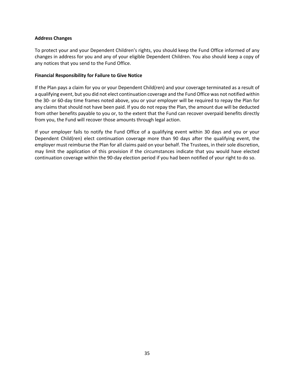### **Address Changes**

To protect your and your Dependent Children's rights, you should keep the Fund Office informed of any changes in address for you and any of your eligible Dependent Children. You also should keep a copy of any notices that you send to the Fund Office.

#### **Financial Responsibility for Failure to Give Notice**

If the Plan pays a claim for you or your Dependent Child(ren) and your coverage terminated as a result of a qualifying event, but you did not elect continuation coverage and the Fund Office was not notified within the 30- or 60-day time frames noted above, you or your employer will be required to repay the Plan for any claims that should not have been paid. If you do not repay the Plan, the amount due will be deducted from other benefits payable to you or, to the extent that the Fund can recover overpaid benefits directly from you, the Fund will recover those amounts through legal action.

If your employer fails to notify the Fund Office of a qualifying event within 30 days and you or your Dependent Child(ren) elect continuation coverage more than 90 days after the qualifying event, the employer must reimburse the Plan for all claims paid on your behalf. The Trustees, in their sole discretion, may limit the application of this provision if the circumstances indicate that you would have elected continuation coverage within the 90-day election period if you had been notified of your right to do so.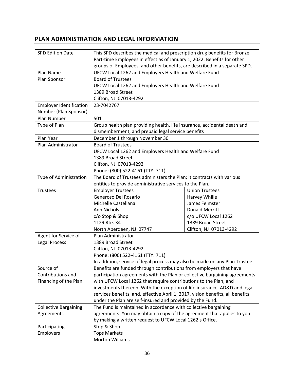# **PLAN ADMINISTRATION AND LEGAL INFORMATION**

| <b>SPD Edition Date</b>        | This SPD describes the medical and prescription drug benefits for Bronze                                                                          |                        |  |  |
|--------------------------------|---------------------------------------------------------------------------------------------------------------------------------------------------|------------------------|--|--|
|                                | Part-time Employees in effect as of January 1, 2022. Benefits for other                                                                           |                        |  |  |
|                                | groups of Employees, and other benefits, are described in a separate SPD.                                                                         |                        |  |  |
| Plan Name                      | UFCW Local 1262 and Employers Health and Welfare Fund                                                                                             |                        |  |  |
| Plan Sponsor                   | <b>Board of Trustees</b>                                                                                                                          |                        |  |  |
|                                | UFCW Local 1262 and Employers Health and Welfare Fund                                                                                             |                        |  |  |
|                                | 1389 Broad Street                                                                                                                                 |                        |  |  |
|                                | Clifton, NJ 07013-4292                                                                                                                            |                        |  |  |
| <b>Employer Identification</b> | 23-7042767                                                                                                                                        |                        |  |  |
| Number (Plan Sponsor)          |                                                                                                                                                   |                        |  |  |
| Plan Number                    | 501                                                                                                                                               |                        |  |  |
| Type of Plan                   | Group health plan providing health, life insurance, accidental death and                                                                          |                        |  |  |
|                                | dismemberment, and prepaid legal service benefits                                                                                                 |                        |  |  |
| Plan Year                      | December 1 through November 30                                                                                                                    |                        |  |  |
| Plan Administrator             | <b>Board of Trustees</b>                                                                                                                          |                        |  |  |
|                                | UFCW Local 1262 and Employers Health and Welfare Fund                                                                                             |                        |  |  |
|                                | 1389 Broad Street                                                                                                                                 |                        |  |  |
|                                | Clifton, NJ 07013-4292                                                                                                                            |                        |  |  |
|                                | Phone: (800) 522-4161 (TTY: 711)                                                                                                                  |                        |  |  |
| Type of Administration         | The Board of Trustees administers the Plan; it contracts with various                                                                             |                        |  |  |
|                                | entities to provide administrative services to the Plan.                                                                                          |                        |  |  |
| Trustees                       | <b>Employer Trustees</b>                                                                                                                          | <b>Union Trustees</b>  |  |  |
|                                | Generoso Del Rosario                                                                                                                              | Harvey Whille          |  |  |
|                                | Michelle Castellana                                                                                                                               | James Feimster         |  |  |
|                                | Ann Nichols                                                                                                                                       | <b>Donald Merritt</b>  |  |  |
|                                | c/o Stop & Shop<br>c/o UFCW Local 1262                                                                                                            |                        |  |  |
|                                | 1129 Rte. 34                                                                                                                                      | 1389 Broad Street      |  |  |
|                                | North Aberdeen, NJ 07747                                                                                                                          | Clifton, NJ 07013-4292 |  |  |
| Agent for Service of           | Plan Administrator                                                                                                                                |                        |  |  |
| <b>Legal Process</b>           | 1389 Broad Street                                                                                                                                 |                        |  |  |
|                                | Clifton, NJ 07013-4292                                                                                                                            |                        |  |  |
|                                | Phone: (800) 522-4161 (TTY: 711)                                                                                                                  |                        |  |  |
|                                |                                                                                                                                                   |                        |  |  |
| Source of                      | In addition, service of legal process may also be made on any Plan Trustee.<br>Benefits are funded through contributions from employers that have |                        |  |  |
| Contributions and              | participation agreements with the Plan or collective bargaining agreements                                                                        |                        |  |  |
| Financing of the Plan          | with UFCW Local 1262 that require contributions to the Plan, and                                                                                  |                        |  |  |
|                                | investments thereon. With the exception of life insurance, AD&D and legal                                                                         |                        |  |  |
|                                | services benefits, and, effective April 1, 2017, vision benefits, all benefits                                                                    |                        |  |  |
|                                | under the Plan are self-insured and provided by the Fund.                                                                                         |                        |  |  |
| <b>Collective Bargaining</b>   | The Fund is maintained in accordance with collective bargaining                                                                                   |                        |  |  |
| Agreements                     |                                                                                                                                                   |                        |  |  |
|                                | agreements. You may obtain a copy of the agreement that applies to you<br>by making a written request to UFCW Local 1262's Office.                |                        |  |  |
| Participating                  | Stop & Shop                                                                                                                                       |                        |  |  |
| Employers                      | <b>Tops Markets</b>                                                                                                                               |                        |  |  |
|                                | <b>Morton Williams</b>                                                                                                                            |                        |  |  |
|                                |                                                                                                                                                   |                        |  |  |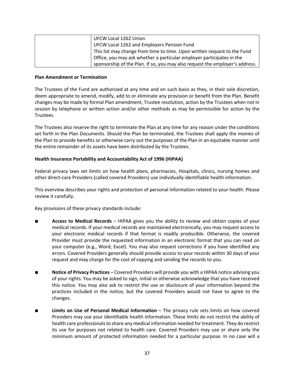| UFCW Local 1262 Union                                                        |
|------------------------------------------------------------------------------|
| UFCW Local 1262 and Employers Pension Fund                                   |
| This list may change from time to time. Upon written request to the Fund     |
| Office, you may ask whether a particular employer participates in the        |
| sponsorship of the Plan. If so, you may also request the employer's address. |

#### **Plan Amendment or Termination**

The Trustees of the Fund are authorized at any time and on such basis as they, in their sole discretion, deem appropriate to amend, modify, add to or eliminate any provision or benefit from the Plan. Benefit changes may be made by formal Plan amendment, Trustee resolution, action by the Trustees when not in session by telephone or written action and/or other methods as may be permissible for action by the Trustees.

The Trustees also reserve the right to terminate the Plan at any time for any reason under the conditions set forth in the Plan Documents. Should the Plan be terminated, the Trustees shall apply the monies of the Plan to provide benefits or otherwise carry out the purposes of the Plan in an equitable manner until the entire remainder of its assets have been distributed by the Trustees.

#### **Health Insurance Portability and Accountability Act of 1996 (HIPAA)**

Federal privacy laws set limits on how health plans, pharmacies, Hospitals, clinics, nursing homes and other direct-care Providers (called covered Providers) use individually identifiable health information.

This overview describes your rights and protection of personal information related to your health. Please review it carefully.

Key provisions of these privacy standards include:

- **Access to Medical Records** HIPAA gives you the ability to review and obtain copies of your medical records. If your medical records are maintained electronically, you may request access to your electronic medical records if that format is readily producible. Otherwise, the covered Provider must provide the requested information in an electronic format that you can read on your computer (e.g., Word, Excel). You may also request corrections if you have identified any errors. Covered Providers generally should provide access to your records within 30 days of your request and may charge for the cost of copying and sending the records to you.
- **Notice of Privacy Practices** Covered Providers will provide you with a HIPAA notice advising you of your rights. You may be asked to sign, initial or otherwise acknowledge that you have received this notice. You may also ask to restrict the use or disclosure of your information beyond the practices included in the notice, but the covered Providers would not have to agree to the changes.
- **Limits on Use of Personal Medical Information** The privacy rule sets limits on how covered Providers may use your identifiable health information. These limits do not restrict the ability of health care professionals to share any medical information needed for treatment. They do restrict its use for purposes not related to health care. Covered Providers may use or share only the minimum amount of protected information needed for a particular purpose. In no case will a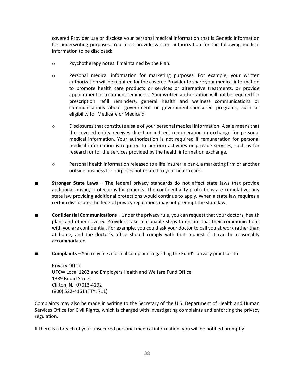covered Provider use or disclose your personal medical information that is Genetic Information for underwriting purposes. You must provide written authorization for the following medical information to be disclosed:

- o Psychotherapy notes if maintained by the Plan.
- o Personal medical information for marketing purposes. For example, your written authorization will be required for the covered Provider to share your medical information to promote health care products or services or alternative treatments, or provide appointment or treatment reminders. Your written authorization will not be required for prescription refill reminders, general health and wellness communications or communications about government or government-sponsored programs, such as eligibility for Medicare or Medicaid.
- o Disclosures that constitute a sale of your personal medical information. A sale means that the covered entity receives direct or indirect remuneration in exchange for personal medical information. Your authorization is not required if remuneration for personal medical information is required to perform activities or provide services, such as for research or for the services provided by the health information exchange.
- $\circ$  Personal health information released to a life insurer, a bank, a marketing firm or another outside business for purposes not related to your health care.
- **Stronger State Laws** The federal privacy standards do not affect state laws that provide additional privacy protections for patients. The confidentiality protections are cumulative; any state law providing additional protections would continue to apply. When a state law requires a certain disclosure, the federal privacy regulations may not preempt the state law.
- **Confidential Communications** Under the privacy rule, you can request that your doctors, health plans and other covered Providers take reasonable steps to ensure that their communications with you are confidential. For example, you could ask your doctor to call you at work rather than at home, and the doctor's office should comply with that request if it can be reasonably accommodated.
- **Complaints** You may file a formal complaint regarding the Fund's privacy practices to:

Privacy Officer UFCW Local 1262 and Employers Health and Welfare Fund Office 1389 Broad Street Clifton, NJ 07013-4292 (800) 522-4161 (TTY: 711)

Complaints may also be made in writing to the Secretary of the U.S. Department of Health and Human Services Office for Civil Rights, which is charged with investigating complaints and enforcing the privacy regulation.

If there is a breach of your unsecured personal medical information, you will be notified promptly.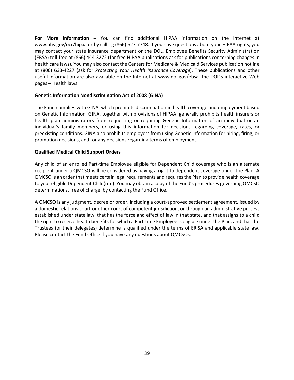**For More Information** – You can find additional HIPAA information on the Internet at www.hhs.gov/ocr/hipaa or by calling (866) 627-7748. If you have questions about your HIPAA rights, you may contact your state insurance department or the DOL, Employee Benefits Security Administration (EBSA) toll-free at (866) 444-3272 (for free HIPAA publications ask for publications concerning changes in health care laws). You may also contact the Centers for Medicare & Medicaid Services publication hotline at (800) 633-4227 (ask for *Protecting Your Health Insurance Coverage*). These publications and other useful information are also available on the Internet at www.dol.gov/ebsa, the DOL's interactive Web pages – Health laws.

#### **Genetic Information Nondiscrimination Act of 2008 (GINA)**

The Fund complies with GINA, which prohibits discrimination in health coverage and employment based on Genetic Information. GINA, together with provisions of HIPAA, generally prohibits health insurers or health plan administrators from requesting or requiring Genetic Information of an individual or an individual's family members, or using this information for decisions regarding coverage, rates, or preexisting conditions. GINA also prohibits employers from using Genetic Information for hiring, firing, or promotion decisions, and for any decisions regarding terms of employment.

#### **Qualified Medical Child Support Orders**

Any child of an enrolled Part-time Employee eligible for Dependent Child coverage who is an alternate recipient under a QMCSO will be considered as having a right to dependent coverage under the Plan. A QMCSO is an order that meets certain legal requirements and requires the Plan to provide health coverage to your eligible Dependent Child(ren). You may obtain a copy of the Fund's procedures governing QMCSO determinations, free of charge, by contacting the Fund Office.

A QMCSO is any judgment, decree or order, including a court-approved settlement agreement, issued by a domestic relations court or other court of competent jurisdiction, or through an administrative process established under state law, that has the force and effect of law in that state, and that assigns to a child the right to receive health benefits for which a Part-time Employee is eligible under the Plan, and that the Trustees (or their delegates) determine is qualified under the terms of ERISA and applicable state law. Please contact the Fund Office if you have any questions about QMCSOs.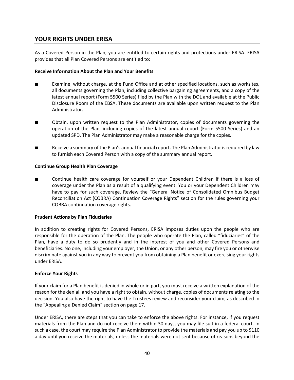## **YOUR RIGHTS UNDER ERISA**

As a Covered Person in the Plan, you are entitled to certain rights and protections under ERISA. ERISA provides that all Plan Covered Persons are entitled to:

## **Receive Information About the Plan and Your Benefits**

- Examine, without charge, at the Fund Office and at other specified locations, such as worksites, all documents governing the Plan, including collective bargaining agreements, and a copy of the latest annual report (Form 5500 Series) filed by the Plan with the DOL and available at the Public Disclosure Room of the EBSA. These documents are available upon written request to the Plan Administrator.
- Obtain, upon written request to the Plan Administrator, copies of documents governing the operation of the Plan, including copies of the latest annual report (Form 5500 Series) and an updated SPD. The Plan Administrator may make a reasonable charge for the copies.
- Receive a summary of the Plan's annual financial report. The Plan Administrator is required by law to furnish each Covered Person with a copy of the summary annual report.

#### **Continue Group Health Plan Coverage**

Continue health care coverage for yourself or your Dependent Children if there is a loss of coverage under the Plan as a result of a qualifying event. You or your Dependent Children may have to pay for such coverage. Review the "General Notice of Consolidated Omnibus Budget Reconciliation Act (COBRA) Continuation Coverage Rights" section for the rules governing your COBRA continuation coverage rights.

#### **Prudent Actions by Plan Fiduciaries**

In addition to creating rights for Covered Persons, ERISA imposes duties upon the people who are responsible for the operation of the Plan. The people who operate the Plan, called "fiduciaries" of the Plan, have a duty to do so prudently and in the interest of you and other Covered Persons and beneficiaries. No one, including your employer, the Union, or any other person, may fire you or otherwise discriminate against you in any way to prevent you from obtaining a Plan benefit or exercising your rights under ERISA.

#### **Enforce Your Rights**

If your claim for a Plan benefit is denied in whole or in part, you must receive a written explanation of the reason for the denial, and you have a right to obtain, without charge, copies of documents relating to the decision. You also have the right to have the Trustees review and reconsider your claim, as described in the "Appealing a Denied Claim" section on page 17.

Under ERISA, there are steps that you can take to enforce the above rights. For instance, if you request materials from the Plan and do not receive them within 30 days, you may file suit in a federal court. In such a case, the court may require the Plan Administrator to provide the materials and pay you up to \$110 a day until you receive the materials, unless the materials were not sent because of reasons beyond the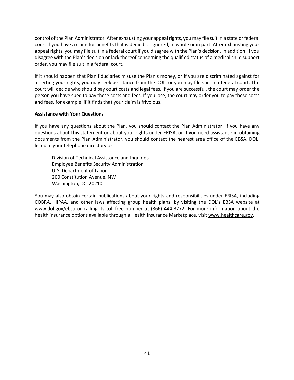control of the Plan Administrator. After exhausting your appeal rights, you may file suit in a state or federal court if you have a claim for benefits that is denied or ignored, in whole or in part. After exhausting your appeal rights, you may file suit in a federal court if you disagree with the Plan's decision. In addition, if you disagree with the Plan's decision or lack thereof concerning the qualified status of a medical child support order, you may file suit in a federal court.

If it should happen that Plan fiduciaries misuse the Plan's money, or if you are discriminated against for asserting your rights, you may seek assistance from the DOL, or you may file suit in a federal court. The court will decide who should pay court costs and legal fees. If you are successful, the court may order the person you have sued to pay these costs and fees. If you lose, the court may order you to pay these costs and fees, for example, if it finds that your claim is frivolous.

#### **Assistance with Your Questions**

If you have any questions about the Plan, you should contact the Plan Administrator. If you have any questions about this statement or about your rights under ERISA, or if you need assistance in obtaining documents from the Plan Administrator, you should contact the nearest area office of the EBSA, DOL, listed in your telephone directory or:

Division of Technical Assistance and Inquiries Employee Benefits Security Administration U.S. Department of Labor 200 Constitution Avenue, NW Washington, DC 20210

You may also obtain certain publications about your rights and responsibilities under ERISA, including COBRA, HIPAA, and other laws affecting group health plans, by visiting the DOL's EBSA website at www.dol.gov/ebsa or calling its toll-free number at (866) 444-3272. For more information about the health insurance options available through a Health Insurance Marketplace, visit www.healthcare.gov.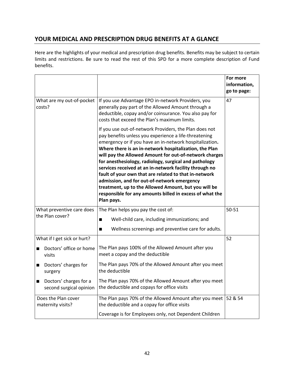# **YOUR MEDICAL AND PRESCRIPTION DRUG BENEFITS AT A GLANCE**

Here are the highlights of your medical and prescription drug benefits. Benefits may be subject to certain limits and restrictions. Be sure to read the rest of this SPD for a more complete description of Fund benefits.

|                                          |                                                   |                                                                                                                                                                                                                                                                                                                                                                                                                                                                                                                                                                                                                                                             | For more<br>information,<br>go to page: |
|------------------------------------------|---------------------------------------------------|-------------------------------------------------------------------------------------------------------------------------------------------------------------------------------------------------------------------------------------------------------------------------------------------------------------------------------------------------------------------------------------------------------------------------------------------------------------------------------------------------------------------------------------------------------------------------------------------------------------------------------------------------------------|-----------------------------------------|
| What are my out-of-pocket<br>costs?      |                                                   | If you use Advantage EPO in-network Providers, you<br>generally pay part of the Allowed Amount through a<br>deductible, copay and/or coinsurance. You also pay for<br>costs that exceed the Plan's maximum limits.                                                                                                                                                                                                                                                                                                                                                                                                                                          | 47                                      |
|                                          |                                                   | If you use out-of-network Providers, the Plan does not<br>pay benefits unless you experience a life-threatening<br>emergency or if you have an in-network hospitalization.<br>Where there is an in-network hospitalization, the Plan<br>will pay the Allowed Amount for out-of-network charges<br>for anesthesiology, radiology, surgical and pathology<br>services received at an in-network facility through no<br>fault of your own that are related to that in-network<br>admission, and for out-of-network emergency<br>treatment, up to the Allowed Amount, but you will be<br>responsible for any amounts billed in excess of what the<br>Plan pays. |                                         |
| the Plan cover?                          | What preventive care does                         | The Plan helps you pay the cost of:<br>Well-child care, including immunizations; and<br>$\blacksquare$                                                                                                                                                                                                                                                                                                                                                                                                                                                                                                                                                      | 50-51                                   |
|                                          |                                                   | Wellness screenings and preventive care for adults.<br>$\blacksquare$                                                                                                                                                                                                                                                                                                                                                                                                                                                                                                                                                                                       |                                         |
|                                          | What if I get sick or hurt?                       |                                                                                                                                                                                                                                                                                                                                                                                                                                                                                                                                                                                                                                                             | 52                                      |
| ■<br>visits                              | Doctors' office or home                           | The Plan pays 100% of the Allowed Amount after you<br>meet a copay and the deductible                                                                                                                                                                                                                                                                                                                                                                                                                                                                                                                                                                       |                                         |
| п<br>surgery                             | Doctors' charges for                              | The Plan pays 70% of the Allowed Amount after you meet<br>the deductible                                                                                                                                                                                                                                                                                                                                                                                                                                                                                                                                                                                    |                                         |
| п                                        | Doctors' charges for a<br>second surgical opinion | The Plan pays 70% of the Allowed Amount after you meet<br>the deductible and copays for office visits                                                                                                                                                                                                                                                                                                                                                                                                                                                                                                                                                       |                                         |
| Does the Plan cover<br>maternity visits? |                                                   | The Plan pays 70% of the Allowed Amount after you meet $\vert$ 52 & 54<br>the deductible and a copay for office visits                                                                                                                                                                                                                                                                                                                                                                                                                                                                                                                                      |                                         |
|                                          |                                                   | Coverage is for Employees only, not Dependent Children                                                                                                                                                                                                                                                                                                                                                                                                                                                                                                                                                                                                      |                                         |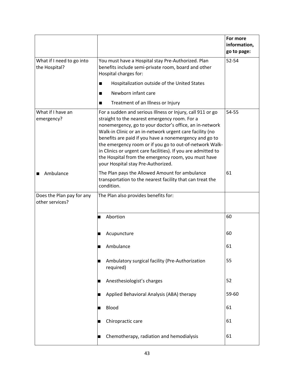|                                              |                                                                                                                                    |                                                                                                                                                                                                                                                                                                                                                                                                                                                                                                                       | For more<br>information,<br>go to page: |
|----------------------------------------------|------------------------------------------------------------------------------------------------------------------------------------|-----------------------------------------------------------------------------------------------------------------------------------------------------------------------------------------------------------------------------------------------------------------------------------------------------------------------------------------------------------------------------------------------------------------------------------------------------------------------------------------------------------------------|-----------------------------------------|
| What if I need to go into<br>the Hospital?   | You must have a Hospital stay Pre-Authorized. Plan<br>benefits include semi-private room, board and other<br>Hospital charges for: |                                                                                                                                                                                                                                                                                                                                                                                                                                                                                                                       | 52-54                                   |
|                                              | ■                                                                                                                                  | Hospitalization outside of the United States                                                                                                                                                                                                                                                                                                                                                                                                                                                                          |                                         |
|                                              | ■                                                                                                                                  | Newborn infant care                                                                                                                                                                                                                                                                                                                                                                                                                                                                                                   |                                         |
|                                              | ■                                                                                                                                  | Treatment of an Illness or Injury                                                                                                                                                                                                                                                                                                                                                                                                                                                                                     |                                         |
| What if I have an<br>emergency?              |                                                                                                                                    | For a sudden and serious Illness or Injury, call 911 or go<br>straight to the nearest emergency room. For a<br>nonemergency, go to your doctor's office, an in-network<br>Walk-in Clinic or an in-network urgent care facility (no<br>benefits are paid if you have a nonemergency and go to<br>the emergency room or if you go to out-of-network Walk-<br>in Clinics or urgent care facilities). If you are admitted to<br>the Hospital from the emergency room, you must have<br>your Hospital stay Pre-Authorized. | 54-55                                   |
| Ambulance                                    | The Plan pays the Allowed Amount for ambulance<br>transportation to the nearest facility that can treat the<br>condition.          |                                                                                                                                                                                                                                                                                                                                                                                                                                                                                                                       | 61                                      |
| Does the Plan pay for any<br>other services? |                                                                                                                                    | The Plan also provides benefits for:                                                                                                                                                                                                                                                                                                                                                                                                                                                                                  |                                         |
|                                              |                                                                                                                                    | Abortion                                                                                                                                                                                                                                                                                                                                                                                                                                                                                                              | 60                                      |
|                                              |                                                                                                                                    | Acupuncture                                                                                                                                                                                                                                                                                                                                                                                                                                                                                                           | 60                                      |
|                                              |                                                                                                                                    | Ambulance                                                                                                                                                                                                                                                                                                                                                                                                                                                                                                             | 61                                      |
|                                              |                                                                                                                                    | Ambulatory surgical facility (Pre-Authorization<br>required)                                                                                                                                                                                                                                                                                                                                                                                                                                                          | 55                                      |
|                                              |                                                                                                                                    | Anesthesiologist's charges                                                                                                                                                                                                                                                                                                                                                                                                                                                                                            | 52                                      |
|                                              |                                                                                                                                    | Applied Behavioral Analysis (ABA) therapy                                                                                                                                                                                                                                                                                                                                                                                                                                                                             | 59-60                                   |
|                                              |                                                                                                                                    | Blood                                                                                                                                                                                                                                                                                                                                                                                                                                                                                                                 | 61                                      |
|                                              |                                                                                                                                    | Chiropractic care                                                                                                                                                                                                                                                                                                                                                                                                                                                                                                     | 61                                      |
|                                              |                                                                                                                                    | Chemotherapy, radiation and hemodialysis                                                                                                                                                                                                                                                                                                                                                                                                                                                                              | 61                                      |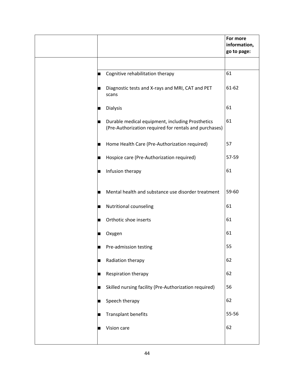|   |                                                                                                            | For more<br>information,<br>go to page: |
|---|------------------------------------------------------------------------------------------------------------|-----------------------------------------|
|   |                                                                                                            |                                         |
|   | Cognitive rehabilitation therapy                                                                           | 61                                      |
|   | Diagnostic tests and X-rays and MRI, CAT and PET<br>scans                                                  | 61-62                                   |
|   | <b>Dialysis</b>                                                                                            | 61                                      |
|   | Durable medical equipment, including Prosthetics<br>(Pre-Authorization required for rentals and purchases) | 61                                      |
| ш | Home Health Care (Pre-Authorization required)                                                              | 57                                      |
|   | Hospice care (Pre-Authorization required)                                                                  | 57-59                                   |
|   | Infusion therapy                                                                                           | 61                                      |
|   | Mental health and substance use disorder treatment                                                         | 59-60                                   |
|   | Nutritional counseling                                                                                     | 61                                      |
|   | Orthotic shoe inserts                                                                                      | 61                                      |
|   | Oxygen                                                                                                     | 61                                      |
|   | Pre-admission testing                                                                                      | 55                                      |
|   | Radiation therapy                                                                                          | 62                                      |
|   | Respiration therapy                                                                                        | 62                                      |
|   | Skilled nursing facility (Pre-Authorization required)                                                      | 56                                      |
|   | Speech therapy                                                                                             | 62                                      |
|   | Transplant benefits                                                                                        | 55-56                                   |
|   | Vision care                                                                                                | 62                                      |
|   |                                                                                                            |                                         |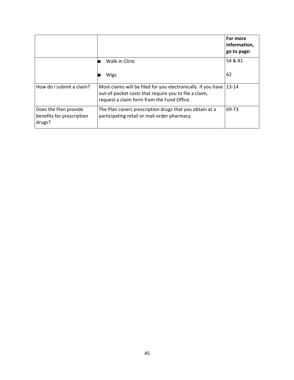|                                                              |                                                                                                                                                                      | For more<br>information,<br>go to page: |
|--------------------------------------------------------------|----------------------------------------------------------------------------------------------------------------------------------------------------------------------|-----------------------------------------|
|                                                              | Walk-in Clinic                                                                                                                                                       | 54 & 81                                 |
|                                                              | Wigs                                                                                                                                                                 | 62                                      |
| How do I submit a claim?                                     | Most claims will be filed for you electronically. If you have<br>out-of-pocket costs that require you to file a claim,<br>request a claim form from the Fund Office. | $13 - 14$                               |
| Does the Plan provide<br>benefits for prescription<br>drugs? | The Plan covers prescription drugs that you obtain at a<br>participating retail or mail-order pharmacy.                                                              | 69-73                                   |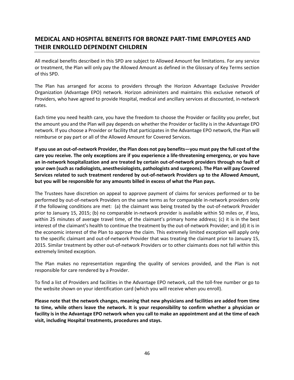# **MEDICAL AND HOSPITAL BENEFITS FOR BRONZE PART-TIME EMPLOYEES AND THEIR ENROLLED DEPENDENT CHILDREN**

All medical benefits described in this SPD are subject to Allowed Amount fee limitations. For any service or treatment, the Plan will only pay the Allowed Amount as defined in the Glossary of Key Terms section of this SPD.

The Plan has arranged for access to providers through the Horizon Advantage Exclusive Provider Organization (Advantage EPO) network. Horizon administers and maintains this exclusive network of Providers, who have agreed to provide Hospital, medical and ancillary services at discounted, in-network rates.

Each time you need health care, you have the freedom to choose the Provider or facility you prefer, but the amount you and the Plan will pay depends on whether the Provider or facility is in the Advantage EPO network. If you choose a Provider or facility that participates in the Advantage EPO network, the Plan will reimburse or pay part or all of the Allowed Amount for Covered Services.

**If you use an out-of-network Provider, the Plan does not pay benefits—you must pay the full cost of the care you receive. The only exceptions are if you experience a life-threatening emergency, or you have an in-network hospitalization and are treated by certain out-of-network providers through no fault of your own (such as radiologists, anesthesiologists, pathologists and surgeons). The Plan will pay Covered Services related to such treatment rendered by out-of-network Providers up to the Allowed Amount, but you will be responsible for any amounts billed in excess of what the Plan pays.**

The Trustees have discretion on appeal to approve payment of claims for services performed or to be performed by out-of-network Providers on the same terms as for comparable in-network providers only if the following conditions are met: (a) the claimant was being treated by the out-of-network Provider prior to January 15, 2015; (b) no comparable in-network provider is available within 50 miles or, if less, within 25 minutes of average travel time, of the claimant's primary home address; (c) it is in the best interest of the claimant's health to continue the treatment by the out-of-network Provider; and (d) it is in the economic interest of the Plan to approve the claim. This extremely limited exception will apply only to the specific claimant and out-of-network Provider that was treating the claimant prior to January 15, 2015. Similar treatment by other out-of-network Providers or to other claimants does not fall within this extremely limited exception.

The Plan makes no representation regarding the quality of services provided, and the Plan is not responsible for care rendered by a Provider.

To find a list of Providers and facilities in the Advantage EPO network, call the toll-free number or go to the website shown on your identification card (which you will receive when you enroll).

**Please note that the network changes, meaning that new physicians and facilities are added from time to time, while others leave the network. It is your responsibility to confirm whether a physician or facility is in the Advantage EPO network when you call to make an appointment and at the time of each visit, including Hospital treatments, procedures and stays.**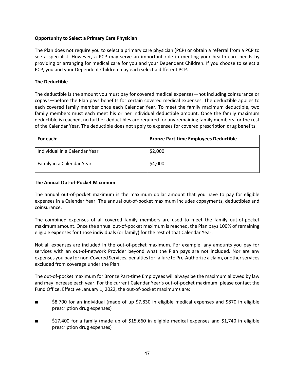## **Opportunity to Select a Primary Care Physician**

The Plan does not require you to select a primary care physician (PCP) or obtain a referral from a PCP to see a specialist. However, a PCP may serve an important role in meeting your health care needs by providing or arranging for medical care for you and your Dependent Children. If you choose to select a PCP, you and your Dependent Children may each select a different PCP.

## **The Deductible**

The deductible is the amount you must pay for covered medical expenses—not including coinsurance or copays—before the Plan pays benefits for certain covered medical expenses. The deductible applies to each covered family member once each Calendar Year. To meet the family maximum deductible, two family members must each meet his or her individual deductible amount. Once the family maximum deductible is reached, no further deductibles are required for any remaining family members for the rest of the Calendar Year. The deductible does not apply to expenses for covered prescription drug benefits.

| For each:                     | <b>Bronze Part-time Employees Deductible</b> |
|-------------------------------|----------------------------------------------|
| Individual in a Calendar Year | \$2,000                                      |
| Family in a Calendar Year     | \$4,000                                      |

#### **The Annual Out-of-Pocket Maximum**

The annual out-of-pocket maximum is the maximum dollar amount that you have to pay for eligible expenses in a Calendar Year. The annual out-of-pocket maximum includes copayments, deductibles and coinsurance.

The combined expenses of all covered family members are used to meet the family out-of-pocket maximum amount. Once the annual out-of-pocket maximum is reached, the Plan pays 100% of remaining eligible expenses for those individuals (or family) for the rest of that Calendar Year.

Not all expenses are included in the out-of-pocket maximum. For example, any amounts you pay for services with an out-of-network Provider beyond what the Plan pays are not included. Nor are any expenses you pay for non-Covered Services, penalties for failure to Pre-Authorize a claim, or other services excluded from coverage under the Plan.

The out-of-pocket maximum for Bronze Part-time Employees will always be the maximum allowed by law and may increase each year. For the current Calendar Year's out-of-pocket maximum, please contact the Fund Office. Effective January 1, 2022, the out-of-pocket maximums are:

- \$8,700 for an individual (made of up \$7,830 in eligible medical expenses and \$870 in eligible prescription drug expenses)
- \$17,400 for a family (made up of \$15,660 in eligible medical expenses and \$1,740 in eligible prescription drug expenses)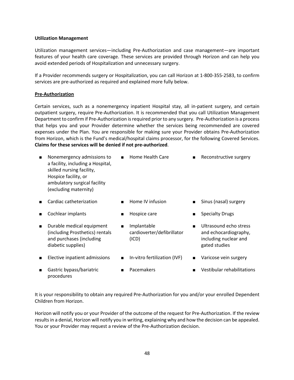#### **Utilization Management**

Utilization management services—including Pre-Authorization and case management—are important features of your health care coverage. These services are provided through Horizon and can help you avoid extended periods of Hospitalization and unnecessary surgery.

If a Provider recommends surgery or Hospitalization, you can call Horizon at 1-800-355-2583, to confirm services are pre-authorized as required and explained more fully below.

#### **Pre-Authorization**

procedures

Certain services, such as a nonemergency inpatient Hospital stay, all in-patient surgery, and certain outpatient surgery, require Pre-Authorization. It is recommended that you call Utilization Management Department to confirm if Pre-Authorization is required prior to any surgery. Pre-Authorization is a process that helps you and your Provider determine whether the services being recommended are covered expenses under the Plan. You are responsible for making sure your Provider obtains Pre-Authorization from Horizon, which is the Fund's medical/hospital claims processor, for the following Covered Services. **Claims for these services will be denied if not pre-authorized**.

| п              | Nonemergency admissions to<br>a facility, including a Hospital,<br>skilled nursing facility,<br>Hospice facility, or<br>ambulatory surgical facility<br>(excluding maternity) |                | Home Health Care                                   |                | Reconstructive surgery                                                                    |
|----------------|-------------------------------------------------------------------------------------------------------------------------------------------------------------------------------|----------------|----------------------------------------------------|----------------|-------------------------------------------------------------------------------------------|
|                | Cardiac catheterization                                                                                                                                                       | $\blacksquare$ | Home IV infusion                                   |                | Sinus (nasal) surgery                                                                     |
|                | Cochlear implants                                                                                                                                                             |                | Hospice care                                       | $\blacksquare$ | <b>Specialty Drugs</b>                                                                    |
| $\blacksquare$ | Durable medical equipment<br>(including Prosthetics) rentals<br>and purchases (including<br>diabetic supplies)                                                                | $\blacksquare$ | Implantable<br>cardioverter/defibrillator<br>(ICD) | $\blacksquare$ | Ultrasound echo stress<br>and echocardiography,<br>including nuclear and<br>gated studies |
| п              | Elective inpatient admissions                                                                                                                                                 |                | In-vitro fertilization (IVF)                       | $\blacksquare$ | Varicose vein surgery                                                                     |
|                | Gastric bypass/bariatric                                                                                                                                                      |                | Pacemakers                                         |                | Vestibular rehabilitations                                                                |

It is your responsibility to obtain any required Pre-Authorization for you and/or your enrolled Dependent Children from Horizon.

Horizon will notify you or your Provider of the outcome of the request for Pre-Authorization. If the review results in a denial, Horizon will notify you in writing, explaining why and how the decision can be appealed. You or your Provider may request a review of the Pre-Authorization decision.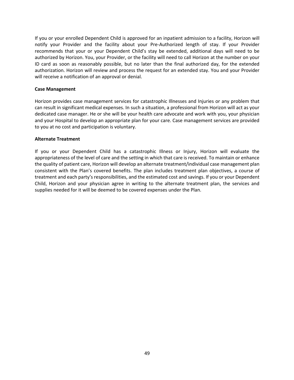If you or your enrolled Dependent Child is approved for an inpatient admission to a facility, Horizon will notify your Provider and the facility about your Pre-Authorized length of stay. If your Provider recommends that your or your Dependent Child's stay be extended, additional days will need to be authorized by Horizon. You, your Provider, or the facility will need to call Horizon at the number on your ID card as soon as reasonably possible, but no later than the final authorized day, for the extended authorization. Horizon will review and process the request for an extended stay. You and your Provider will receive a notification of an approval or denial.

#### **Case Management**

Horizon provides case management services for catastrophic Illnesses and Injuries or any problem that can result in significant medical expenses. In such a situation, a professional from Horizon will act as your dedicated case manager. He or she will be your health care advocate and work with you, your physician and your Hospital to develop an appropriate plan for your care. Case management services are provided to you at no cost and participation is voluntary.

#### **Alternate Treatment**

If you or your Dependent Child has a catastrophic Illness or Injury, Horizon will evaluate the appropriateness of the level of care and the setting in which that care is received. To maintain or enhance the quality of patient care, Horizon will develop an alternate treatment/individual case management plan consistent with the Plan's covered benefits. The plan includes treatment plan objectives, a course of treatment and each party's responsibilities, and the estimated cost and savings. If you or your Dependent Child, Horizon and your physician agree in writing to the alternate treatment plan, the services and supplies needed for it will be deemed to be covered expenses under the Plan.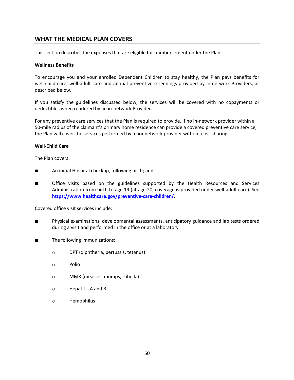## **WHAT THE MEDICAL PLAN COVERS**

This section describes the expenses that are eligible for reimbursement under the Plan.

#### **Wellness Benefits**

To encourage you and your enrolled Dependent Children to stay healthy, the Plan pays benefits for well-child care, well-adult care and annual preventive screenings provided by in-network Providers, as described below.

If you satisfy the guidelines discussed below, the services will be covered with no copayments or deductibles when rendered by an in-network Provider.

For any preventive care services that the Plan is required to provide, if no in-network provider within a 50-mile radius of the claimant's primary home residence can provide a covered preventive care service, the Plan will cover the services performed by a nonnetwork provider without cost-sharing.

#### **Well-Child Care**

The Plan covers:

- An initial Hospital checkup, following birth; and
- Office visits based on the guidelines supported by the Health Resources and Services Administration from birth to age 19 (at age 20, coverage is provided under well-adult care). See **https://www.healthcare.gov/preventive-care-children/**.

Covered office visit services include:

- Physical examinations, developmental assessments, anticipatory guidance and lab tests ordered during a visit and performed in the office or at a laboratory
- The following immunizations:
	- o DPT (diphtheria, pertussis, tetanus)
	- o Polio
	- o MMR (measles, mumps, rubella)
	- o Hepatitis A and B
	- o Hemophilus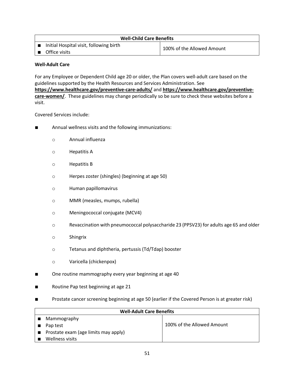| <b>Well-Child Care Benefits</b>                                     |  |                            |  |
|---------------------------------------------------------------------|--|----------------------------|--|
| $\Box$ Initial Hospital visit, following birth<br>  ■ Office visits |  | 100% of the Allowed Amount |  |
|                                                                     |  |                            |  |

## **Well-Adult Care**

For any Employee or Dependent Child age 20 or older, the Plan covers well-adult care based on the guidelines supported by the Health Resources and Services Administration. See **https://www.healthcare.gov/preventive-care-adults/** and **https://www.healthcare.gov/preventivecare-women/**. These guidelines may change periodically so be sure to check these websites before a visit.

## Covered Services include:

- Annual wellness visits and the following immunizations:
	- o Annual influenza
	- o Hepatitis A
	- o Hepatitis B
	- o Herpes zoster (shingles) (beginning at age 50)
	- o Human papillomavirus
	- o MMR (measles, mumps, rubella)
	- o Meningococcal conjugate (MCV4)
	- o Revaccination with pneumococcal polysaccharide 23 (PPSV23) for adults age 65 and older
	- o Shingrix
	- o Tetanus and diphtheria, pertussis (Td/Tdap) booster
	- o Varicella (chickenpox)
- One routine mammography every year beginning at age 40
- Routine Pap test beginning at age 21
- Prostate cancer screening beginning at age 50 (earlier if the Covered Person is at greater risk)

| <b>Well-Adult Care Benefits</b>             |                            |  |  |
|---------------------------------------------|----------------------------|--|--|
| Mammography                                 |                            |  |  |
| Pap test                                    | 100% of the Allowed Amount |  |  |
| <b>Prostate exam (age limits may apply)</b> |                            |  |  |
| Wellness visits                             |                            |  |  |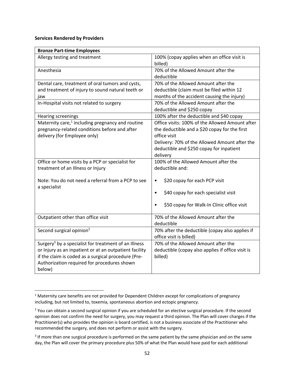#### **Services Rendered by Providers**

| <b>Bronze Part-time Employees</b>                                                                                                                                                                                                          |                                                                                                                                                                                                                           |
|--------------------------------------------------------------------------------------------------------------------------------------------------------------------------------------------------------------------------------------------|---------------------------------------------------------------------------------------------------------------------------------------------------------------------------------------------------------------------------|
| Allergy testing and treatment                                                                                                                                                                                                              | 100% (copay applies when an office visit is<br>billed)                                                                                                                                                                    |
| Anesthesia                                                                                                                                                                                                                                 | 70% of the Allowed Amount after the<br>deductible                                                                                                                                                                         |
| Dental care, treatment of oral tumors and cysts,<br>and treatment of injury to sound natural teeth or<br>jaw                                                                                                                               | 70% of the Allowed Amount after the<br>deductible (claim must be filed within 12<br>months of the accident causing the injury)                                                                                            |
| In-Hospital visits not related to surgery                                                                                                                                                                                                  | 70% of the Allowed Amount after the<br>deductible and \$250 copay                                                                                                                                                         |
| <b>Hearing screenings</b>                                                                                                                                                                                                                  | 100% after the deductible and \$40 copay                                                                                                                                                                                  |
| Maternity care, <sup>1</sup> including pregnancy and routine<br>pregnancy-related conditions before and after<br>delivery (for Employee only)                                                                                              | Office visits: 100% of the Allowed Amount after<br>the deductible and a \$20 copay for the first<br>office visit<br>Delivery: 70% of the Allowed Amount after the<br>deductible and \$250 copay for inpatient<br>delivery |
| Office or home visits by a PCP or specialist for<br>treatment of an Illness or Injury                                                                                                                                                      | 100% of the Allowed Amount after the<br>deductible and:                                                                                                                                                                   |
| Note: You do not need a referral from a PCP to see<br>a specialist                                                                                                                                                                         | \$20 copay for each PCP visit<br>\$40 copay for each specialist visit<br>$\bullet$<br>\$50 copay for Walk-In Clinic office visit                                                                                          |
| Outpatient other than office visit                                                                                                                                                                                                         | 70% of the Allowed Amount after the<br>deductible                                                                                                                                                                         |
| Second surgical opinion <sup>2</sup>                                                                                                                                                                                                       | 70% after the deductible (copay also applies if<br>office visit is billed)                                                                                                                                                |
| Surgery <sup>3</sup> by a specialist for treatment of an Illness<br>or Injury as an inpatient or at an outpatient facility<br>if the claim is coded as a surgical procedure (Pre-<br>Authorization required for procedures shown<br>below) | 70% of the Allowed Amount after the<br>deductible (copay also applies if office visit is<br>billed)                                                                                                                       |

<sup>&</sup>lt;sup>1</sup> Maternity care benefits are not provided for Dependent Children except for complications of pregnancy including, but not limited to, toxemia, spontaneous abortion and ectopic pregnancy.

<sup>&</sup>lt;sup>2</sup> You can obtain a second surgical opinion if you are scheduled for an elective surgical procedure. If the second opinion does not confirm the need for surgery, you may request a third opinion. The Plan will cover charges if the Practitioner(s) who provides the opinion is board certified, is not a business associate of the Practitioner who recommended the surgery, and does not perform or assist with the surgery.

<sup>&</sup>lt;sup>3</sup> If more than one surgical procedure is performed on the same patient by the same physician and on the same day, the Plan will cover the primary procedure plus 50% of what the Plan would have paid for each additional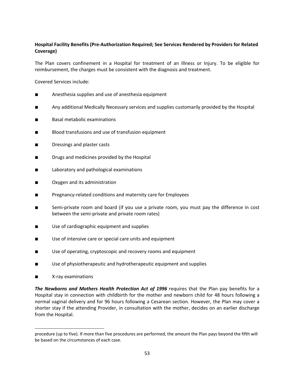## **Hospital Facility Benefits (Pre-Authorization Required; See Services Rendered by Providers for Related Coverage)**

The Plan covers confinement in a Hospital for treatment of an Illness or Injury. To be eligible for reimbursement, the charges must be consistent with the diagnosis and treatment.

Covered Services include:

- Anesthesia supplies and use of anesthesia equipment
- Any additional Medically Necessary services and supplies customarily provided by the Hospital
- Basal metabolic examinations
- Blood transfusions and use of transfusion equipment
- Dressings and plaster casts
- Drugs and medicines provided by the Hospital
- Laboratory and pathological examinations
- Oxygen and its administration
- Pregnancy-related conditions and maternity care for Employees
- Semi-private room and board (if you use a private room, you must pay the difference in cost between the semi-private and private room rates)
- Use of cardiographic equipment and supplies
- Use of intensive care or special care units and equipment
- Use of operating, cryptoscopic and recovery rooms and equipment
- Use of physiotherapeutic and hydrotherapeutic equipment and supplies
- X-ray examinations

*The Newborns and Mothers Health Protection Act of 1996* requires that the Plan pay benefits for a Hospital stay in connection with childbirth for the mother and newborn child for 48 hours following a normal vaginal delivery and for 96 hours following a Cesarean section. However, the Plan may cover a shorter stay if the attending Provider, in consultation with the mother, decides on an earlier discharge from the Hospital.

procedure (up to five). If more than five procedures are performed, the amount the Plan pays beyond the fifth will be based on the circumstances of each case.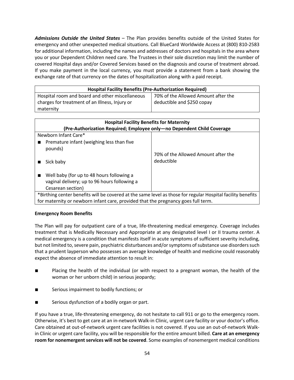*Admissions Outside the United States* – The Plan provides benefits outside of the United States for emergency and other unexpected medical situations. Call BlueCard Worldwide Access at (800) 810-2583 for additional information, including the names and addresses of doctors and hospitals in the area where you or your Dependent Children need care. The Trustees in their sole discretion may limit the number of covered Hospital days and/or Covered Services based on the diagnosis and course of treatment abroad. If you make payment in the local currency, you must provide a statement from a bank showing the exchange rate of that currency on the dates of hospitalization along with a paid receipt.

| <b>Hospital Facility Benefits (Pre-Authorization Required)</b> |                                     |  |  |
|----------------------------------------------------------------|-------------------------------------|--|--|
| Hospital room and board and other miscellaneous                | 70% of the Allowed Amount after the |  |  |
| charges for treatment of an Illness, Injury or                 | deductible and \$250 copay          |  |  |
| maternity                                                      |                                     |  |  |

| <b>Hospital Facility Benefits for Maternity</b><br>(Pre-Authorization Required; Employee only—no Dependent Child Coverage |                                     |
|---------------------------------------------------------------------------------------------------------------------------|-------------------------------------|
| Newborn Infant Care*                                                                                                      |                                     |
| Premature infant (weighing less than five<br>pounds)                                                                      | 70% of the Allowed Amount after the |
| Sick baby                                                                                                                 | deductible                          |
| Well baby (for up to 48 hours following a<br>vaginal delivery; up to 96 hours following a<br>Cesarean section)            |                                     |
| *Birthing center benefits will be covered at the same level as those for regular Hospital facility benefits               |                                     |
| for maternity or newborn infant care, provided that the pregnancy goes full term.                                         |                                     |

#### **Emergency Room Benefits**

The Plan will pay for outpatient care of a true, life-threatening medical emergency. Coverage includes treatment that is Medically Necessary and Appropriate at any designated level I or II trauma center. A medical emergency is a condition that manifests itself in acute symptoms of sufficient severity including, but not limited to, severe pain, psychiatric disturbances and/or symptoms of substance use disorders such that a prudent layperson who possesses an average knowledge of health and medicine could reasonably expect the absence of immediate attention to result in:

- Placing the health of the individual (or with respect to a pregnant woman, the health of the woman or her unborn child) in serious jeopardy;
- Serious impairment to bodily functions; or
- Serious dysfunction of a bodily organ or part.

If you have a true, life-threatening emergency, do not hesitate to call 911 or go to the emergency room. Otherwise, it's best to get care at an in-network Walk-in Clinic, urgent care facility or your doctor's office. Care obtained at out-of-network urgent care facilities is not covered. If you use an out-of-network Walkin Clinic or urgent care facility, you will be responsible for the entire amount billed. **Care at an emergency room for nonemergent services will not be covered**. Some examples of nonemergent medical conditions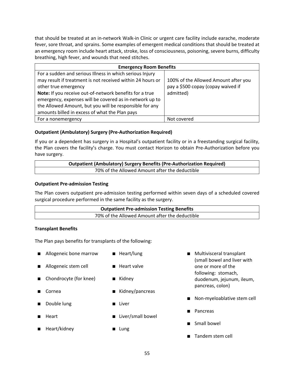that should be treated at an in-network Walk-in Clinic or urgent care facility include earache, moderate fever, sore throat, and sprains. Some examples of emergent medical conditions that should be treated at an emergency room include heart attack, stroke, loss of consciousness, poisoning, severe burns, difficulty breathing, high fever, and wounds that need stitches.

| <b>Emergency Room Benefits</b>                             |                                      |
|------------------------------------------------------------|--------------------------------------|
| For a sudden and serious Illness in which serious Injury   |                                      |
| may result if treatment is not received within 24 hours or | 100% of the Allowed Amount after you |
| other true emergency                                       | pay a \$500 copay (copay waived if   |
| Note: If you receive out-of-network benefits for a true    | admitted)                            |
| emergency, expenses will be covered as in-network up to    |                                      |
| the Allowed Amount, but you will be responsible for any    |                                      |
| amounts billed in excess of what the Plan pays             |                                      |
| For a nonemergency                                         | Not covered                          |

## **Outpatient (Ambulatory) Surgery (Pre-Authorization Required)**

If you or a dependent has surgery in a Hospital's outpatient facility or in a freestanding surgical facility, the Plan covers the facility's charge. You must contact Horizon to obtain Pre-Authorization before you have surgery.

| <b>Outpatient (Ambulatory) Surgery Benefits (Pre-Authorization Required)</b> |  |
|------------------------------------------------------------------------------|--|
| 70% of the Allowed Amount after the deductible                               |  |

#### **Outpatient Pre-admission Testing**

The Plan covers outpatient pre-admission testing performed within seven days of a scheduled covered surgical procedure performed in the same facility as the surgery.

| <b>Outpatient Pre-admission Testing Benefits</b> |  |
|--------------------------------------------------|--|
| 70% of the Allowed Amount after the deductible   |  |

#### **Transplant Benefits**

The Plan pays benefits for transplants of the following:

- Allogeneic bone marrow ■ Heart/lung
- Allogeneic stem cell
- Heart valve

■ Kidney/pancreas

■ Kidney

- Chondrocyte (for knee)
- Cornea
- Double lung
- Heart
- Heart/kidney
- Liver/small bowel

■ Liver

■ Lung

- Multivisceral transplant (small bowel and liver with one or more of the following: stomach, duodenum, jejunum, ileum, pancreas, colon)
- Non-myeloablative stem cell
- Pancreas
- Small bowel
- Tandem stem cell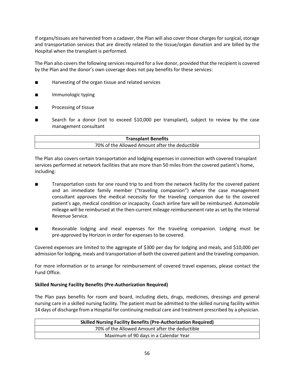If organs/tissues are harvested from a cadaver, the Plan will also cover those charges for surgical, storage and transportation services that are directly related to the tissue/organ donation and are billed by the Hospital when the transplant is performed.

The Plan also covers the following services required for a live donor, provided that the recipient is covered by the Plan and the donor's own coverage does not pay benefits for these services:

- Harvesting of the organ tissue and related services
- Immunologic typing
- Processing of tissue
- Search for a donor (not to exceed \$10,000 per transplant), subject to review by the case management consultant

| <b>Transplant Benefits</b>                     |  |
|------------------------------------------------|--|
| 70% of the Allowed Amount after the deductible |  |

The Plan also covers certain transportation and lodging expenses in connection with covered transplant services performed at network facilities that are more than 50 miles from the covered patient's home, including:

- Transportation costs for one round trip to and from the network facility for the covered patient and an immediate family member ("traveling companion") where the case management consultant approves the medical necessity for the traveling companion due to the covered patient's age, medical condition or incapacity. Coach airline fare will be reimbursed. Automobile mileage will be reimbursed at the then-current mileage reimbursement rate as set by the Internal Revenue Service.
- Reasonable lodging and meal expenses for the traveling companion. Lodging must be pre-approved by Horizon in order for expenses to be covered.

Covered expenses are limited to the aggregate of \$300 per day for lodging and meals, and \$10,000 per admission for lodging, meals and transportation of both the covered patient and the traveling companion.

For more information or to arrange for reimbursement of covered travel expenses, please contact the Fund Office.

#### **Skilled Nursing Facility Benefits (Pre-Authorization Required)**

The Plan pays benefits for room and board, including diets, drugs, medicines, dressings and general nursing care in a skilled nursing facility. The patient must be admitted to the skilled nursing facility within 14 days of discharge from a Hospital for continuing medical care and treatment prescribed by a physician.

| <b>Skilled Nursing Facility Benefits (Pre-Authorization Required)</b> |  |
|-----------------------------------------------------------------------|--|
| 70% of the Allowed Amount after the deductible                        |  |
| Maximum of 90 days in a Calendar Year                                 |  |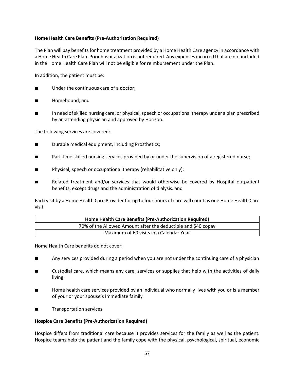## **Home Health Care Benefits (Pre-Authorization Required)**

The Plan will pay benefits for home treatment provided by a Home Health Care agency in accordance with a Home Health Care Plan. Prior hospitalization is not required. Any expenses incurred that are not included in the Home Health Care Plan will not be eligible for reimbursement under the Plan.

In addition, the patient must be:

- Under the continuous care of a doctor;
- Homebound; and
- In need of skilled nursing care, or physical, speech or occupational therapy under a plan prescribed by an attending physician and approved by Horizon.

The following services are covered:

- Durable medical equipment, including Prosthetics;
- Part-time skilled nursing services provided by or under the supervision of a registered nurse;
- Physical, speech or occupational therapy (rehabilitative only);
- Related treatment and/or services that would otherwise be covered by Hospital outpatient benefits, except drugs and the administration of dialysis. and

Each visit by a Home Health Care Provider for up to four hours of care will count as one Home Health Care visit.

| Home Health Care Benefits (Pre-Authorization Required)        |  |
|---------------------------------------------------------------|--|
| 70% of the Allowed Amount after the deductible and \$40 copay |  |
| Maximum of 60 visits in a Calendar Year                       |  |

Home Health Care benefits do not cover:

- Any services provided during a period when you are not under the continuing care of a physician
- Custodial care, which means any care, services or supplies that help with the activities of daily living
- Home health care services provided by an individual who normally lives with you or is a member of your or your spouse's immediate family
- Transportation services

#### **Hospice Care Benefits (Pre-Authorization Required)**

Hospice differs from traditional care because it provides services for the family as well as the patient. Hospice teams help the patient and the family cope with the physical, psychological, spiritual, economic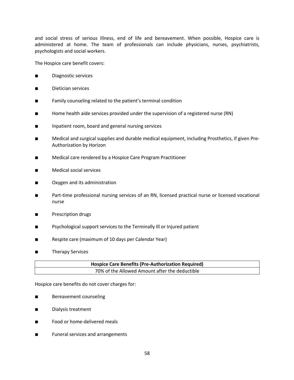and social stress of serious Illness, end of life and bereavement. When possible, Hospice care is administered at home. The team of professionals can include physicians, nurses, psychiatrists, psychologists and social workers.

The Hospice care benefit covers:

- Diagnostic services
- Dietician services
- Family counseling related to the patient's terminal condition
- Home health aide services provided under the supervision of a registered nurse (RN)
- Inpatient room, board and general nursing services
- Medical and surgical supplies and durable medical equipment, including Prosthetics, if given Pre-Authorization by Horizon
- Medical care rendered by a Hospice Care Program Practitioner
- Medical social services
- Oxygen and its administration
- Part-time professional nursing services of an RN, licensed practical nurse or licensed vocational nurse
- Prescription drugs
- Psychological support services to the Terminally III or Injured patient
- Respite care (maximum of 10 days per Calendar Year)
- Therapy Services

| <b>Hospice Care Benefits (Pre-Authorization Required)</b> |  |
|-----------------------------------------------------------|--|
| 70% of the Allowed Amount after the deductible            |  |

Hospice care benefits do not cover charges for:

- Bereavement counseling
- Dialysis treatment
- Food or home-delivered meals
- Funeral services and arrangements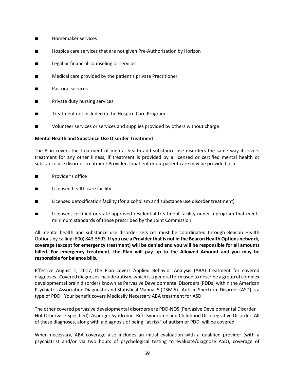- Homemaker services
- Hospice care services that are not given Pre-Authorization by Horizon
- Legal or financial counseling or services
- Medical care provided by the patient's private Practitioner
- Pastoral services
- Private duty nursing services
- Treatment not included in the Hospice Care Program
- Volunteer services or services and supplies provided by others without charge

#### **Mental Health and Substance Use Disorder Treatment**

The Plan covers the treatment of mental health and substance use disorders the same way it covers treatment for any other Illness, if treatment is provided by a licensed or certified mental health or substance use disorder treatment Provider. Inpatient or outpatient care may be provided in a:

- Provider's office
- Licensed health care facility
- Licensed detoxification facility (for alcoholism and substance use disorder treatment)
- Licensed, certified or state-approved residential treatment facility under a program that meets minimum standards of those prescribed by the Joint Commission.

All mental health and substance use disorder services must be coordinated through Beacon Health Options by calling (800) 843-5503. **If you use a Provider thatis not in the Beacon Health Options network, coverage (except for emergency treatment) will be denied and you will be responsible for all amounts billed. For emergency treatment, the Plan will pay up to the Allowed Amount and you may be responsible for balance bills**.

Effective August 1, 2017, the Plan covers Applied Behavior Analysis (ABA) treatment for covered diagnoses. Covered diagnoses include autism, which is a general term used to describe a group of complex developmental brain disorders known as Pervasive Developmental Disorders (PDDs) within the American Psychiatric Association Diagnostic and Statistical Manual 5 (DSM 5). Autism Spectrum Disorder (ASD) is a type of PDD. Your benefit covers Medically Necessary ABA treatment for ASD.

The other covered pervasive developmental disorders are PDD-NOS (Pervasive Developmental Disorder – Not Otherwise Specified), Asperger Syndrome, Rett Syndrome and Childhood Disintegrative Disorder. All of these diagnoses, along with a diagnosis of being "at risk" of autism or PDD, will be covered.

When necessary, ABA coverage also includes an initial evaluation with a qualified provider (with a psychiatrist and/or via two hours of psychological testing to evaluate/diagnose ASD), coverage of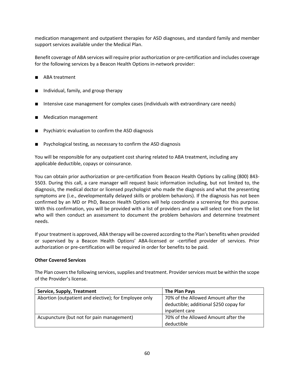medication management and outpatient therapies for ASD diagnoses, and standard family and member support services available under the Medical Plan.

Benefit coverage of ABA services will require prior authorization or pre-certification and includes coverage for the following services by a Beacon Health Options in-network provider:

- ABA treatment
- Individual, family, and group therapy
- Intensive case management for complex cases (individuals with extraordinary care needs)
- Medication management
- Psychiatric evaluation to confirm the ASD diagnosis
- Psychological testing, as necessary to confirm the ASD diagnosis

You will be responsible for any outpatient cost sharing related to ABA treatment, including any applicable deductible, copays or coinsurance.

You can obtain prior authorization or pre-certification from Beacon Health Options by calling (800) 843- 5503. During this call, a care manager will request basic information including, but not limited to, the diagnosis, the medical doctor or licensed psychologist who made the diagnosis and what the presenting symptoms are (i.e., developmentally delayed skills or problem behaviors). If the diagnosis has not been confirmed by an MD or PhD, Beacon Health Options will help coordinate a screening for this purpose. With this confirmation, you will be provided with a list of providers and you will select one from the list who will then conduct an assessment to document the problem behaviors and determine treatment needs.

If your treatment is approved, ABA therapy will be covered according to the Plan's benefits when provided or supervised by a Beacon Health Options' ABA-licensed or -certified provider of services. Prior authorization or pre-certification will be required in order for benefits to be paid.

#### **Other Covered Services**

The Plan covers the following services, supplies and treatment. Provider services must be within the scope of the Provider's license.

| <b>Service, Supply, Treatment</b>                     | The Plan Pays                          |
|-------------------------------------------------------|----------------------------------------|
| Abortion (outpatient and elective); for Employee only | 70% of the Allowed Amount after the    |
|                                                       | deductible; additional \$250 copay for |
|                                                       | inpatient care                         |
| Acupuncture (but not for pain management)             | 70% of the Allowed Amount after the    |
|                                                       | deductible                             |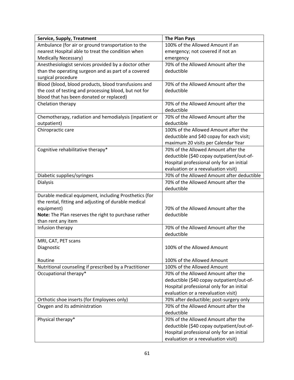| <b>Service, Supply, Treatment</b>                      | <b>The Plan Pays</b>                       |
|--------------------------------------------------------|--------------------------------------------|
| Ambulance (for air or ground transportation to the     | 100% of the Allowed Amount if an           |
| nearest Hospital able to treat the condition when      | emergency; not covered if not an           |
| <b>Medically Necessary)</b>                            | emergency                                  |
| Anesthesiologist services provided by a doctor other   | 70% of the Allowed Amount after the        |
| than the operating surgeon and as part of a covered    | deductible                                 |
| surgical procedure                                     |                                            |
| Blood (blood, blood products, blood transfusions and   | 70% of the Allowed Amount after the        |
| the cost of testing and processing blood, but not for  | deductible                                 |
| blood that has been donated or replaced)               |                                            |
| Chelation therapy                                      | 70% of the Allowed Amount after the        |
|                                                        | deductible                                 |
| Chemotherapy, radiation and hemodialysis (inpatient or | 70% of the Allowed Amount after the        |
| outpatient)                                            | deductible                                 |
| Chiropractic care                                      | 100% of the Allowed Amount after the       |
|                                                        | deductible and \$40 copay for each visit;  |
|                                                        | maximum 20 visits per Calendar Year        |
| Cognitive rehabilitative therapy*                      | 70% of the Allowed Amount after the        |
|                                                        | deductible (\$40 copay outpatient/out-of-  |
|                                                        | Hospital professional only for an initial  |
|                                                        | evaluation or a reevaluation visit)        |
| Diabetic supplies/syringes                             | 70% of the Allowed Amount after deductible |
| <b>Dialysis</b>                                        | 70% of the Allowed Amount after the        |
|                                                        | deductible                                 |
| Durable medical equipment, including Prosthetics (for  |                                            |
| the rental, fitting and adjusting of durable medical   |                                            |
| equipment)                                             | 70% of the Allowed Amount after the        |
| Note: The Plan reserves the right to purchase rather   | deductible                                 |
| than rent any item                                     |                                            |
| Infusion therapy                                       | 70% of the Allowed Amount after the        |
|                                                        | deductible                                 |
| MRI, CAT, PET scans                                    |                                            |
| Diagnostic                                             | 100% of the Allowed Amount                 |
|                                                        |                                            |
| Routine                                                | 100% of the Allowed Amount                 |
| Nutritional counseling if prescribed by a Practitioner | 100% of the Allowed Amount                 |
| Occupational therapy*                                  | 70% of the Allowed Amount after the        |
|                                                        | deductible (\$40 copay outpatient/out-of-  |
|                                                        | Hospital professional only for an initial  |
|                                                        | evaluation or a reevaluation visit)        |
| Orthotic shoe inserts (for Employees only)             | 70% after deductible; post-surgery only    |
| Oxygen and its administration                          | 70% of the Allowed Amount after the        |
|                                                        | deductible                                 |
| Physical therapy*                                      | 70% of the Allowed Amount after the        |
|                                                        | deductible (\$40 copay outpatient/out-of-  |
|                                                        | Hospital professional only for an initial  |
|                                                        | evaluation or a reevaluation visit)        |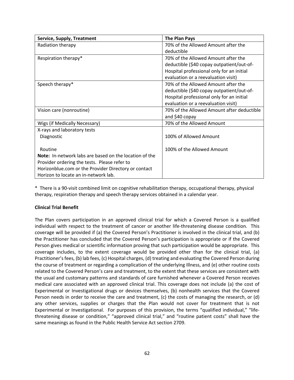| <b>Service, Supply, Treatment</b>                      | <b>The Plan Pays</b>                       |
|--------------------------------------------------------|--------------------------------------------|
| Radiation therapy                                      | 70% of the Allowed Amount after the        |
|                                                        | deductible                                 |
| Respiration therapy*                                   | 70% of the Allowed Amount after the        |
|                                                        | deductible (\$40 copay outpatient/out-of-  |
|                                                        | Hospital professional only for an initial  |
|                                                        | evaluation or a reevaluation visit)        |
| Speech therapy*                                        | 70% of the Allowed Amount after the        |
|                                                        | deductible (\$40 copay outpatient/out-of-  |
|                                                        | Hospital professional only for an initial  |
|                                                        | evaluation or a reevaluation visit)        |
| Vision care (nonroutine)                               | 70% of the Allowed Amount after deductible |
|                                                        | and \$40 copay                             |
| Wigs (if Medically Necessary)                          | 70% of the Allowed Amount                  |
| X-rays and laboratory tests                            |                                            |
| Diagnostic                                             | 100% of Allowed Amount                     |
|                                                        |                                            |
| Routine                                                | 100% of the Allowed Amount                 |
| Note: In-network labs are based on the location of the |                                            |
| Provider ordering the tests. Please refer to           |                                            |
| Horizonblue.com or the Provider Directory or contact   |                                            |
| Horizon to locate an in-network lab.                   |                                            |

\* There is a 90-visit combined limit on cognitive rehabilitation therapy, occupational therapy, physical therapy, respiration therapy and speech therapy services obtained in a calendar year.

## **Clinical Trial Benefit**

The Plan covers participation in an approved clinical trial for which a Covered Person is a qualified individual with respect to the treatment of cancer or another life-threatening disease condition. This coverage will be provided if (a) the Covered Person's Practitioner is involved in the clinical trial, and (b) the Practitioner has concluded that the Covered Person's participation is appropriate or if the Covered Person gives medical or scientific information proving that such participation would be appropriate. This coverage includes, to the extent coverage would be provided other than for the clinical trial, (a) Practitioner's fees, (b) lab fees, (c) Hospital charges, (d) treating and evaluating the Covered Person during the course of treatment or regarding a complication of the underlying Illness, and (e) other routine costs related to the Covered Person's care and treatment, to the extent that these services are consistent with the usual and customary patterns and standards of care furnished whenever a Covered Person receives medical care associated with an approved clinical trial. This coverage does not include (a) the cost of Experimental or Investigational drugs or devices themselves, (b) nonhealth services that the Covered Person needs in order to receive the care and treatment, (c) the costs of managing the research, or (d) any other services, supplies or charges that the Plan would not cover for treatment that is not Experimental or Investigational. For purposes of this provision, the terms "qualified individual," "lifethreatening disease or condition," "approved clinical trial," and "routine patient costs" shall have the same meanings as found in the Public Health Service Act section 2709.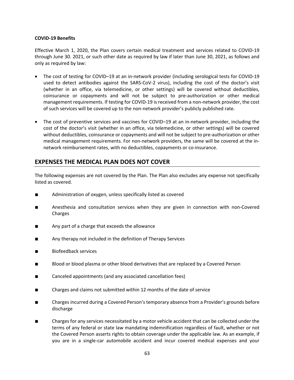#### **COVID-19 Benefits**

Effective March 1, 2020, the Plan covers certain medical treatment and services related to COVID-19 through June 30. 2021, or such other date as required by law if later than June 30, 2021, as follows and only as required by law:

- The cost of testing for COVID-19 at an in-network provider (including serological tests for COVID-19 used to detect antibodies against the SARS-CoV-2 virus), including the cost of the doctor's visit (whether in an office, via telemedicine, or other settings) will be covered without deductibles, coinsurance or copayments and will not be subject to pre-authorization or other medical management requirements. If testing for COVID-19 is received from a non-network provider, the cost of such services will be covered up to the non-network provider's publicly published rate.
- The cost of preventive services and vaccines for COVID–19 at an in-network provider, including the cost of the doctor's visit (whether in an office, via telemedicine, or other settings) will be covered without deductibles, coinsurance or copayments and will not be subject to pre-authorization or other medical management requirements. For non-network providers, the same will be covered at the innetwork reimbursement rates, with no deductibles, copayments or co-insurance.

## **EXPENSES THE MEDICAL PLAN DOES NOT COVER**

The following expenses are not covered by the Plan. The Plan also excludes any expense not specifically listed as covered.

- Administration of oxygen, unless specifically listed as covered
- Anesthesia and consultation services when they are given in connection with non-Covered Charges
- Any part of a charge that exceeds the allowance
- Any therapy not included in the definition of Therapy Services
- Biofeedback services
- Blood or blood plasma or other blood derivatives that are replaced by a Covered Person
- Canceled appointments (and any associated cancellation fees)
- Charges and claims not submitted within 12 months of the date of service
- Charges incurred during a Covered Person's temporary absence from a Provider's grounds before discharge
- Charges for any services necessitated by a motor vehicle accident that can be collected under the terms of any federal or state law mandating indemnification regardless of fault, whether or not the Covered Person asserts rights to obtain coverage under the applicable law. As an example, if you are in a single-car automobile accident and incur covered medical expenses and your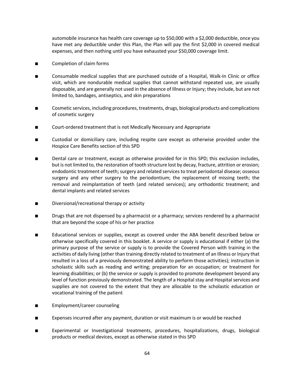automobile insurance has health care coverage up to \$50,000 with a \$2,000 deductible, once you have met any deductible under this Plan, the Plan will pay the first \$2,000 in covered medical expenses, and then nothing until you have exhausted your \$50,000 coverage limit.

- Completion of claim forms
- Consumable medical supplies that are purchased outside of a Hospital, Walk-In Clinic or office visit, which are nondurable medical supplies that cannot withstand repeated use, are usually disposable, and are generally not used in the absence of Illness or Injury; they include, but are not limited to, bandages, antiseptics, and skin preparations
- Cosmetic services, including procedures, treatments, drugs, biological products and complications of cosmetic surgery
- Court-ordered treatment that is not Medically Necessary and Appropriate
- Custodial or domiciliary care, including respite care except as otherwise provided under the Hospice Care Benefits section of this SPD
- Dental care or treatment, except as otherwise provided for in this SPD; this exclusion includes, but is not limited to, the restoration of tooth structure lost by decay, fracture, attrition or erosion; endodontic treatment of teeth; surgery and related services to treat periodontal disease; osseous surgery and any other surgery to the periodontium; the replacement of missing teeth; the removal and reimplantation of teeth (and related services); any orthodontic treatment; and dental implants and related services
- Diversional/recreational therapy or activity
- Drugs that are not dispensed by a pharmacist or a pharmacy; services rendered by a pharmacist that are beyond the scope of his or her practice
- Educational services or supplies, except as covered under the ABA benefit described below or otherwise specifically covered in this booklet. A service or supply is educational if either (a) the primary purpose of the service or supply is to provide the Covered Person with training in the activities of daily living (other than training directly related to treatment of an Illness or Injury that resulted in a loss of a previously demonstrated ability to perform those activities); instruction in scholastic skills such as reading and writing; preparation for an occupation; or treatment for learning disabilities; or (b) the service or supply is provided to promote development beyond any level of function previously demonstrated. The length of a Hospital stay and Hospital services and supplies are not covered to the extent that they are allocable to the scholastic education or vocational training of the patient
- Employment/career counseling
- Expenses incurred after any payment, duration or visit maximum is or would be reached
- Experimental or Investigational treatments, procedures, hospitalizations, drugs, biological products or medical devices, except as otherwise stated in this SPD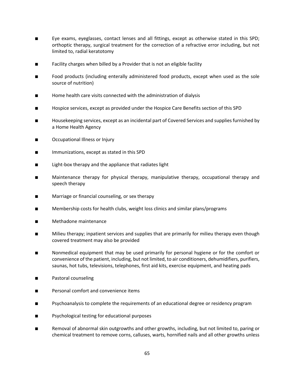- Eye exams, eyeglasses, contact lenses and all fittings, except as otherwise stated in this SPD; orthoptic therapy, surgical treatment for the correction of a refractive error including, but not limited to, radial keratotomy
- Facility charges when billed by a Provider that is not an eligible facility
- Food products (including enterally administered food products, except when used as the sole source of nutrition)
- Home health care visits connected with the administration of dialysis
- Hospice services, except as provided under the Hospice Care Benefits section of this SPD
- Housekeeping services, except as an incidental part of Covered Services and supplies furnished by a Home Health Agency
- Occupational Illness or Injury
- Immunizations, except as stated in this SPD
- Light-box therapy and the appliance that radiates light
- Maintenance therapy for physical therapy, manipulative therapy, occupational therapy and speech therapy
- Marriage or financial counseling, or sex therapy
- Membership costs for health clubs, weight loss clinics and similar plans/programs
- Methadone maintenance
- Milieu therapy; inpatient services and supplies that are primarily for milieu therapy even though covered treatment may also be provided
- Nonmedical equipment that may be used primarily for personal hygiene or for the comfort or convenience of the patient, including, but not limited, to air conditioners, dehumidifiers, purifiers, saunas, hot tubs, televisions, telephones, first aid kits, exercise equipment, and heating pads
- Pastoral counseling
- Personal comfort and convenience items
- Psychoanalysis to complete the requirements of an educational degree or residency program
- Psychological testing for educational purposes
- Removal of abnormal skin outgrowths and other growths, including, but not limited to, paring or chemical treatment to remove corns, calluses, warts, hornified nails and all other growths unless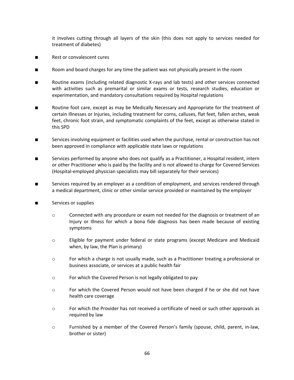it involves cutting through all layers of the skin (this does not apply to services needed for treatment of diabetes)

- Rest or convalescent cures
- Room and board charges for any time the patient was not physically present in the room
- Boutine exams (including related diagnostic X-rays and lab tests) and other services connected with activities such as premarital or similar exams or tests, research studies, education or experimentation, and mandatory consultations required by Hospital regulations
- Routine foot care, except as may be Medically Necessary and Appropriate for the treatment of certain Illnesses or Injuries, including treatment for corns, calluses, flat feet, fallen arches, weak feet, chronic foot strain, and symptomatic complaints of the feet, except as otherwise stated in this SPD
- Services involving equipment or facilities used when the purchase, rental or construction has not been approved in compliance with applicable state laws or regulations
- Services performed by anyone who does not qualify as a Practitioner, a Hospital resident, intern or other Practitioner who is paid by the facility and is not allowed to charge for Covered Services (Hospital-employed physician specialists may bill separately for their services)
- Services required by an employer as a condition of employment, and services rendered through a medical department, clinic or other similar service provided or maintained by the employer
- Services or supplies
	- o Connected with any procedure or exam not needed for the diagnosis or treatment of an Injury or Illness for which a bona fide diagnosis has been made because of existing symptoms
	- o Eligible for payment under federal or state programs (except Medicare and Medicaid when, by law, the Plan is primary)
	- o For which a charge is not usually made, such as a Practitioner treating a professional or business associate, or services at a public health fair
	- o For which the Covered Person is not legally obligated to pay
	- o For which the Covered Person would not have been charged if he or she did not have health care coverage
	- o For which the Provider has not received a certificate of need or such other approvals as required by law
	- o Furnished by a member of the Covered Person's family (spouse, child, parent, in-law, brother or sister)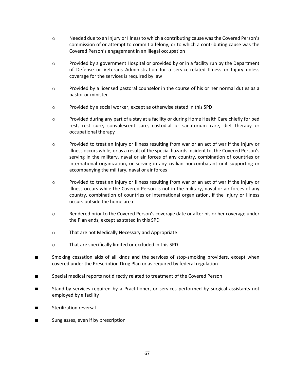- o Needed due to an Injury or Illness to which a contributing cause was the Covered Person's commission of or attempt to commit a felony, or to which a contributing cause was the Covered Person's engagement in an illegal occupation
- $\circ$  Provided by a government Hospital or provided by or in a facility run by the Department of Defense or Veterans Administration for a service-related Illness or Injury unless coverage for the services is required by law
- o Provided by a licensed pastoral counselor in the course of his or her normal duties as a pastor or minister
- o Provided by a social worker, except as otherwise stated in this SPD
- o Provided during any part of a stay at a facility or during Home Health Care chiefly for bed rest, rest cure, convalescent care, custodial or sanatorium care, diet therapy or occupational therapy
- o Provided to treat an Injury or Illness resulting from war or an act of war if the Injury or Illness occurs while, or as a result of the special hazards incident to, the Covered Person's serving in the military, naval or air forces of any country, combination of countries or international organization, or serving in any civilian noncombatant unit supporting or accompanying the military, naval or air forces
- o Provided to treat an Injury or Illness resulting from war or an act of war if the Injury or Illness occurs while the Covered Person is not in the military, naval or air forces of any country, combination of countries or international organization, if the Injury or Illness occurs outside the home area
- o Rendered prior to the Covered Person's coverage date or after his or her coverage under the Plan ends, except as stated in this SPD
- o That are not Medically Necessary and Appropriate
- o That are specifically limited or excluded in this SPD
- Smoking cessation aids of all kinds and the services of stop-smoking providers, except when covered under the Prescription Drug Plan or as required by federal regulation
- Special medical reports not directly related to treatment of the Covered Person
- Stand-by services required by a Practitioner, or services performed by surgical assistants not employed by a facility
- Sterilization reversal
- Sunglasses, even if by prescription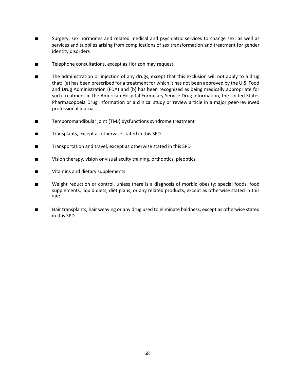- Surgery, sex hormones and related medical and psychiatric services to change sex, as well as services and supplies arising from complications of sex transformation and treatment for gender identity disorders
- Telephone consultations, except as Horizon may request
- The administration or injection of any drugs, except that this exclusion will not apply to a drug that: (a) has been prescribed for a treatment for which it has not been approved by the U.S. Food and Drug Administration (FDA) and (b) has been recognized as being medically appropriate for such treatment in the American Hospital Formulary Service Drug Information, the United States Pharmacopoeia Drug Information or a clinical study or review article in a major peer-reviewed professional journal
- Temporomandibular joint (TMJ) dysfunctions syndrome treatment
- Transplants, except as otherwise stated in this SPD
- Transportation and travel, except as otherwise stated in this SPD
- Vision therapy, vision or visual acuity training, orthoptics, pleoptics
- Vitamins and dietary supplements
- Weight reduction or control, unless there is a diagnosis of morbid obesity; special foods, food supplements, liquid diets, diet plans, or any related products, except as otherwise stated in this SPD
- Hair transplants, hair weaving or any drug used to eliminate baldness, except as otherwise stated in this SPD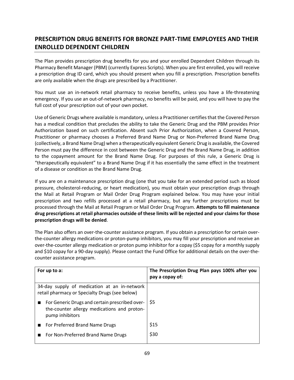# **PRESCRIPTION DRUG BENEFITS FOR BRONZE PART-TIME EMPLOYEES AND THEIR ENROLLED DEPENDENT CHILDREN**

The Plan provides prescription drug benefits for you and your enrolled Dependent Children through its Pharmacy Benefit Manager (PBM) (currently Express Scripts). When you are first enrolled, you will receive a prescription drug ID card, which you should present when you fill a prescription. Prescription benefits are only available when the drugs are prescribed by a Practitioner.

You must use an in-network retail pharmacy to receive benefits, unless you have a life-threatening emergency. If you use an out-of-network pharmacy, no benefits will be paid, and you will have to pay the full cost of your prescription out of your own pocket.

Use of Generic Drugs where available is mandatory, unless a Practitioner certifies that the Covered Person has a medical condition that precludes the ability to take the Generic Drug and the PBM provides Prior Authorization based on such certification. Absent such Prior Authorization, when a Covered Person, Practitioner or pharmacy chooses a Preferred Brand Name Drug or Non-Preferred Brand Name Drug (collectively, a Brand Name Drug) when a therapeutically equivalent Generic Drug is available, the Covered Person must pay the difference in cost between the Generic Drug and the Brand Name Drug, in addition to the copayment amount for the Brand Name Drug. For purposes of this rule, a Generic Drug is "therapeutically equivalent" to a Brand Name Drug if it has essentially the same effect in the treatment of a disease or condition as the Brand Name Drug.

If you are on a maintenance prescription drug (one that you take for an extended period such as blood pressure, cholesterol-reducing, or heart medication), you must obtain your prescription drugs through the Mail at Retail Program or Mail Order Drug Program explained below. You may have your initial prescription and two refills processed at a retail pharmacy, but any further prescriptions must be processed through the Mail at Retail Program or Mail Order Drug Program. **Attempts to fill maintenance drug prescriptions at retail pharmacies outside of these limits will be rejected and your claims for those prescription drugs will be denied**.

The Plan also offers an over-the-counter assistance program. If you obtain a prescription for certain overthe-counter allergy medications or proton-pump inhibitors, you may fill your prescription and receive an over-the-counter allergy medication or proton pump inhibitor for a copay (\$5 copay for a monthly supply and \$10 copay for a 90-day supply). Please contact the Fund Office for additional details on the over-thecounter assistance program.

| For up to a:                                                                                                     | The Prescription Drug Plan pays 100% after you<br>pay a copay of: |
|------------------------------------------------------------------------------------------------------------------|-------------------------------------------------------------------|
| 34-day supply of medication at an in-network<br>retail pharmacy or Specialty Drugs (see below)                   |                                                                   |
| For Generic Drugs and certain prescribed over-<br>the-counter allergy medications and proton-<br>pump inhibitors | S5                                                                |
| ■ For Preferred Brand Name Drugs                                                                                 | \$15                                                              |
| For Non-Preferred Brand Name Drugs                                                                               | \$30                                                              |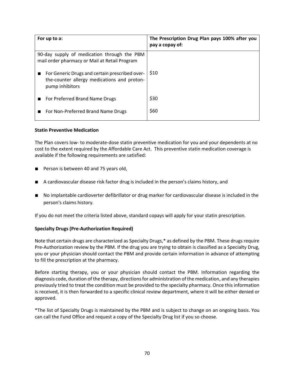| For up to a:                                                                                                     | The Prescription Drug Plan pays 100% after you<br>pay a copay of: |
|------------------------------------------------------------------------------------------------------------------|-------------------------------------------------------------------|
| 90-day supply of medication through the PBM<br>mail order pharmacy or Mail at Retail Program                     |                                                                   |
| For Generic Drugs and certain prescribed over-<br>the-counter allergy medications and proton-<br>pump inhibitors | S10                                                               |
| For Preferred Brand Name Drugs                                                                                   | \$30                                                              |
| For Non-Preferred Brand Name Drugs                                                                               | \$60                                                              |

#### **Statin Preventive Medication**

The Plan covers low- to moderate-dose statin preventive medication for you and your dependents at no cost to the extent required by the Affordable Care Act. This preventive statin medication coverage is available if the following requirements are satisfied:

- Person is between 40 and 75 years old,
- A cardiovascular disease risk factor drug is included in the person's claims history, and
- No implantable cardioverter defibrillator or drug marker for cardiovascular disease is included in the person's claims history.

If you do not meet the criteria listed above, standard copays will apply for your statin prescription.

## **Specialty Drugs (Pre-Authorization Required)**

Note that certain drugs are characterized as Specialty Drugs,\* as defined by the PBM. These drugs require Pre-Authorization review by the PBM. If the drug you are trying to obtain is classified as a Specialty Drug, you or your physician should contact the PBM and provide certain information in advance of attempting to fill the prescription at the pharmacy.

Before starting therapy, you or your physician should contact the PBM. Information regarding the diagnosis code, duration of the therapy, directions for administration of the medication, and any therapies previously tried to treat the condition must be provided to the specialty pharmacy. Once this information is received, it is then forwarded to a specific clinical review department, where it will be either denied or approved.

\*The list of Specialty Drugs is maintained by the PBM and is subject to change on an ongoing basis. You can call the Fund Office and request a copy of the Specialty Drug list if you so choose.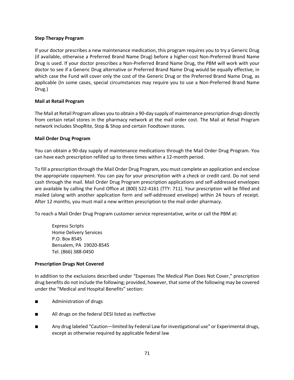## **Step Therapy Program**

If your doctor prescribes a new maintenance medication, this program requires you to try a Generic Drug (if available, otherwise a Preferred Brand Name Drug) before a higher-cost Non-Preferred Brand Name Drug is used. If your doctor prescribes a Non-Preferred Brand Name Drug, the PBM will work with your doctor to see if a Generic Drug alternative or Preferred Brand Name Drug would be equally effective, in which case the Fund will cover only the cost of the Generic Drug or the Preferred Brand Name Drug, as applicable (In some cases, special circumstances may require you to use a Non-Preferred Brand Name Drug.)

## **Mail at Retail Program**

The Mail at Retail Program allows you to obtain a 90-day supply of maintenance prescription drugs directly from certain retail stores in the pharmacy network at the mail order cost. The Mail at Retail Program network includes ShopRite, Stop & Shop and certain Foodtown stores.

## **Mail Order Drug Program**

You can obtain a 90-day supply of maintenance medications through the Mail Order Drug Program. You can have each prescription refilled up to three times within a 12-month period.

To fill a prescription through the Mail Order Drug Program, you must complete an application and enclose the appropriate copayment. You can pay for your prescription with a check or credit card. Do not send cash through the mail. Mail Order Drug Program prescription applications and self-addressed envelopes are available by calling the Fund Office at (800) 522-4161 (TTY: 711). Your prescription will be filled and mailed (along with another application form and self-addressed envelope) within 24 hours of receipt. After 12 months, you must mail a new written prescription to the mail order pharmacy.

To reach a Mail Order Drug Program customer service representative, write or call the PBM at:

Express Scripts Home Delivery Services P.O. Box 8545 Bensalem, PA 19020-8545 Tel. (866) 388-0450

## **Prescription Drugs Not Covered**

In addition to the exclusions described under "Expenses The Medical Plan Does Not Cover," prescription drug benefits do not include the following; provided, however, that some of the following may be covered under the "Medical and Hospital Benefits" section:

- Administration of drugs
- All drugs on the federal DESI listed as ineffective
- Any drug labeled "Caution—limited by Federal Law for investigational use" or Experimental drugs, except as otherwise required by applicable federal law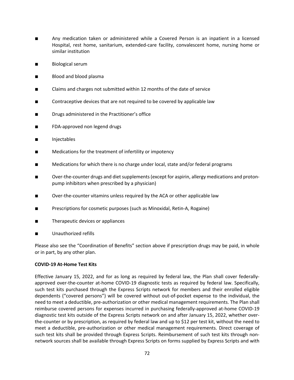- Any medication taken or administered while a Covered Person is an inpatient in a licensed Hospital, rest home, sanitarium, extended-care facility, convalescent home, nursing home or similar institution
- Biological serum
- Blood and blood plasma
- Claims and charges not submitted within 12 months of the date of service
- Contraceptive devices that are not required to be covered by applicable law
- Drugs administered in the Practitioner's office
- FDA-approved non legend drugs
- Injectables
- Medications for the treatment of infertility or impotency
- Medications for which there is no charge under local, state and/or federal programs
- Over-the-counter drugs and diet supplements (except for aspirin, allergy medications and protonpump inhibitors when prescribed by a physician)
- Over-the-counter vitamins unless required by the ACA or other applicable law
- Prescriptions for cosmetic purposes (such as Minoxidal, Retin-A, Rogaine)
- Therapeutic devices or appliances
- Unauthorized refills

Please also see the "Coordination of Benefits" section above if prescription drugs may be paid, in whole or in part, by any other plan.

## **COVID-19 At-Home Test Kits**

Effective January 15, 2022, and for as long as required by federal law, the Plan shall cover federallyapproved over-the-counter at-home COVID-19 diagnostic tests as required by federal law. Specifically, such test kits purchased through the Express Scripts network for members and their enrolled eligible dependents ("covered persons") will be covered without out-of-pocket expense to the individual, the need to meet a deductible, pre-authorization or other medical management requirements. The Plan shall reimburse covered persons for expenses incurred in purchasing federally-approved at-home COVID-19 diagnostic test kits outside of the Express Scripts network on and after January 15, 2022, whether overthe-counter or by prescription, as required by federal law and up to \$12 per test kit, without the need to meet a deductible, pre-authorization or other medical management requirements. Direct coverage of such test kits shall be provided through Express Scripts. Reimbursement of such test kits through nonnetwork sources shall be available through Express Scripts on forms supplied by Express Scripts and with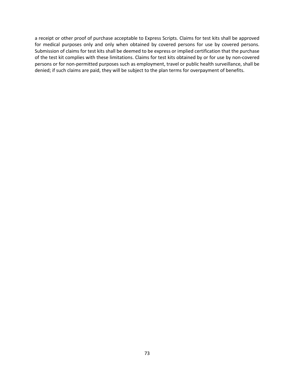a receipt or other proof of purchase acceptable to Express Scripts. Claims for test kits shall be approved for medical purposes only and only when obtained by covered persons for use by covered persons. Submission of claims for test kits shall be deemed to be express or implied certification that the purchase of the test kit complies with these limitations. Claims for test kits obtained by or for use by non-covered persons or for non-permitted purposes such as employment, travel or public health surveillance, shall be denied; if such claims are paid, they will be subject to the plan terms for overpayment of benefits.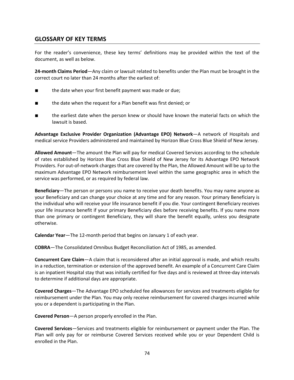# **GLOSSARY OF KEY TERMS**

For the reader's convenience, these key terms' definitions may be provided within the text of the document, as well as below.

**24-month Claims Period**—Any claim or lawsuit related to benefits under the Plan must be brought in the correct court no later than 24 months after the earliest of:

- the date when your first benefit payment was made or due;
- the date when the request for a Plan benefit was first denied; or
- the earliest date when the person knew or should have known the material facts on which the lawsuit is based.

**Advantage Exclusive Provider Organization (Advantage EPO) Network**—A network of Hospitals and medical service Providers administered and maintained by Horizon Blue Cross Blue Shield of New Jersey.

**Allowed Amount**—The amount the Plan will pay for medical Covered Services according to the schedule of rates established by Horizon Blue Cross Blue Shield of New Jersey for its Advantage EPO Network Providers. For out-of-network charges that are covered by the Plan, the Allowed Amount will be up to the maximum Advantage EPO Network reimbursement level within the same geographic area in which the service was performed, or as required by federal law.

**Beneficiary**—The person or persons you name to receive your death benefits. You may name anyone as your Beneficiary and can change your choice at any time and for any reason. Your primary Beneficiary is the individual who will receive your life insurance benefit if you die. Your contingent Beneficiary receives your life insurance benefit if your primary Beneficiary dies before receiving benefits. If you name more than one primary or contingent Beneficiary, they will share the benefit equally, unless you designate otherwise.

**Calendar Year**—The 12-month period that begins on January 1 of each year.

**COBRA**—The Consolidated Omnibus Budget Reconciliation Act of 1985, as amended.

**Concurrent Care Claim**—A claim that is reconsidered after an initial approval is made, and which results in a reduction, termination or extension of the approved benefit. An example of a Concurrent Care Claim is an inpatient Hospital stay that was initially certified for five days and is reviewed at three-day intervals to determine if additional days are appropriate.

**Covered Charges**—The Advantage EPO scheduled fee allowances for services and treatments eligible for reimbursement under the Plan. You may only receive reimbursement for covered charges incurred while you or a dependent is participating in the Plan.

**Covered Person**—A person properly enrolled in the Plan.

**Covered Services**—Services and treatments eligible for reimbursement or payment under the Plan. The Plan will only pay for or reimburse Covered Services received while you or your Dependent Child is enrolled in the Plan.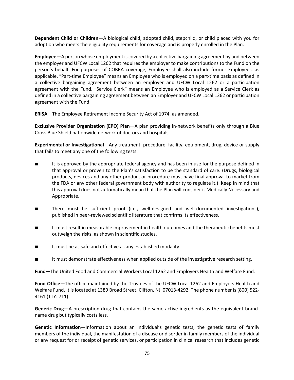**Dependent Child or Children**—A biological child, adopted child, stepchild, or child placed with you for adoption who meets the eligibility requirements for coverage and is properly enrolled in the Plan.

**Employee**—A person whose employment is covered by a collective bargaining agreement by and between the employer and UFCW Local 1262 that requires the employer to make contributions to the Fund on the person's behalf. For purposes of COBRA coverage, Employee shall also include former Employees, as applicable. "Part-time Employee" means an Employee who is employed on a part-time basis as defined in a collective bargaining agreement between an employer and UFCW Local 1262 or a participation agreement with the Fund. "Service Clerk" means an Employee who is employed as a Service Clerk as defined in a collective bargaining agreement between an Employer and UFCW Local 1262 or participation agreement with the Fund.

**ERISA**—The Employee Retirement Income Security Act of 1974, as amended.

**Exclusive Provider Organization (EPO) Plan**—A plan providing in-network benefits only through a Blue Cross Blue Shield nationwide network of doctors and hospitals.

**Experimental or Investigational**—Any treatment, procedure, facility, equipment, drug, device or supply that fails to meet any one of the following tests:

- It is approved by the appropriate federal agency and has been in use for the purpose defined in that approval or proven to the Plan's satisfaction to be the standard of care. (Drugs, biological products, devices and any other product or procedure must have final approval to market from the FDA or any other federal government body with authority to regulate it.) Keep in mind that this approval does not automatically mean that the Plan will consider it Medically Necessary and Appropriate.
- There must be sufficient proof (i.e., well-designed and well-documented investigations), published in peer-reviewed scientific literature that confirms its effectiveness.
- It must result in measurable improvement in health outcomes and the therapeutic benefits must outweigh the risks, as shown in scientific studies.
- It must be as safe and effective as any established modality.
- It must demonstrate effectiveness when applied outside of the investigative research setting.

**Fund—**The United Food and Commercial Workers Local 1262 and Employers Health and Welfare Fund.

**Fund Office**—The office maintained by the Trustees of the UFCW Local 1262 and Employers Health and Welfare Fund. It is located at 1389 Broad Street, Clifton, NJ 07013-4292. The phone number is (800) 522- 4161 (TTY: 711).

**Generic Drug**—A prescription drug that contains the same active ingredients as the equivalent brandname drug but typically costs less.

**Genetic Information**—Information about an individual's genetic tests, the genetic tests of family members of the individual, the manifestation of a disease or disorder in family members of the individual or any request for or receipt of genetic services, or participation in clinical research that includes genetic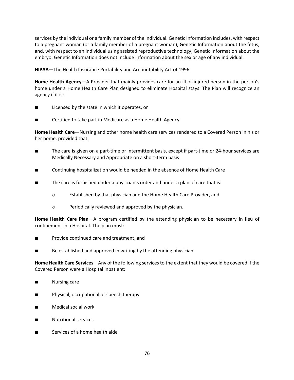services by the individual or a family member of the individual. Genetic Information includes, with respect to a pregnant woman (or a family member of a pregnant woman), Genetic Information about the fetus, and, with respect to an individual using assisted reproductive technology, Genetic Information about the embryo. Genetic Information does not include information about the sex or age of any individual.

**HIPAA**—The Health Insurance Portability and Accountability Act of 1996.

**Home Health Agency**—A Provider that mainly provides care for an ill or injured person in the person's home under a Home Health Care Plan designed to eliminate Hospital stays. The Plan will recognize an agency if it is:

- Licensed by the state in which it operates, or
- Certified to take part in Medicare as a Home Health Agency.

**Home Health Care**—Nursing and other home health care services rendered to a Covered Person in his or her home, provided that:

- The care is given on a part-time or intermittent basis, except if part-time or 24-hour services are Medically Necessary and Appropriate on a short-term basis
- Continuing hospitalization would be needed in the absence of Home Health Care
- The care is furnished under a physician's order and under a plan of care that is:
	- o Established by that physician and the Home Health Care Provider, and
	- o Periodically reviewed and approved by the physician.

**Home Health Care Plan**—A program certified by the attending physician to be necessary in lieu of confinement in a Hospital. The plan must:

- Provide continued care and treatment, and
- Be established and approved in writing by the attending physician.

**Home Health Care Services**—Any of the following services to the extent that they would be covered if the Covered Person were a Hospital inpatient:

- Nursing care
- Physical, occupational or speech therapy
- Medical social work
- Nutritional services
- Services of a home health aide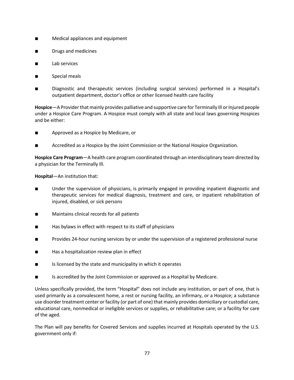- Medical appliances and equipment
- Drugs and medicines
- Lab services
- Special meals
- Diagnostic and therapeutic services (including surgical services) performed in a Hospital's outpatient department, doctor's office or other licensed health care facility

**Hospice**—A Provider that mainly provides palliative and supportive care for Terminally Ill or Injured people under a Hospice Care Program. A Hospice must comply with all state and local laws governing Hospices and be either:

- Approved as a Hospice by Medicare, or
- Accredited as a Hospice by the Joint Commission or the National Hospice Organization.

**Hospice Care Program**—A health care program coordinated through an interdisciplinary team directed by a physician for the Terminally Ill.

**Hospital**—An institution that:

- Under the supervision of physicians, is primarily engaged in providing inpatient diagnostic and therapeutic services for medical diagnosis, treatment and care, or inpatient rehabilitation of injured, disabled, or sick persons
- Maintains clinical records for all patients
- Has bylaws in effect with respect to its staff of physicians
- Provides 24-hour nursing services by or under the supervision of a registered professional nurse
- Has a hospitalization review plan in effect
- Is licensed by the state and municipality in which it operates
- Is accredited by the Joint Commission or approved as a Hospital by Medicare.

Unless specifically provided, the term "Hospital" does not include any institution, or part of one, that is used primarily as a convalescent home, a rest or nursing facility, an infirmary, or a Hospice; a substance use disorder treatment center or facility (or part of one) that mainly provides domiciliary or custodial care, educational care, nonmedical or ineligible services or supplies, or rehabilitative care; or a facility for care of the aged.

The Plan will pay benefits for Covered Services and supplies incurred at Hospitals operated by the U.S. government only if: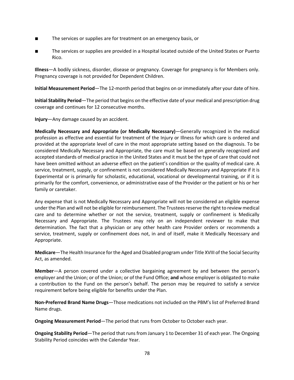- The services or supplies are for treatment on an emergency basis, or
- The services or supplies are provided in a Hospital located outside of the United States or Puerto Rico.

**Illness**—A bodily sickness, disorder, disease or pregnancy. Coverage for pregnancy is for Members only. Pregnancy coverage is not provided for Dependent Children.

**Initial Measurement Period**—The 12-month period that begins on or immediately after your date of hire.

**Initial Stability Period**—The period that begins on the effective date of your medical and prescription drug coverage and continues for 12 consecutive months.

**Injury**—Any damage caused by an accident.

**Medically Necessary and Appropriate (or Medically Necessary)**—Generally recognized in the medical profession as effective and essential for treatment of the Injury or Illness for which care is ordered and provided at the appropriate level of care in the most appropriate setting based on the diagnosis. To be considered Medically Necessary and Appropriate, the care must be based on generally recognized and accepted standards of medical practice in the United States and it must be the type of care that could not have been omitted without an adverse effect on the patient's condition or the quality of medical care. A service, treatment, supply, or confinement is not considered Medically Necessary and Appropriate if it is Experimental or is primarily for scholastic, educational, vocational or developmental training, or if it is primarily for the comfort, convenience, or administrative ease of the Provider or the patient or his or her family or caretaker.

Any expense that is not Medically Necessary and Appropriate will not be considered an eligible expense under the Plan and will not be eligible for reimbursement. The Trustees reserve the right to review medical care and to determine whether or not the service, treatment, supply or confinement is Medically Necessary and Appropriate. The Trustees may rely on an independent reviewer to make that determination. The fact that a physician or any other health care Provider orders or recommends a service, treatment, supply or confinement does not, in and of itself, make it Medically Necessary and Appropriate.

**Medicare**—The Health Insurance for the Aged and Disabled program under Title XVIII of the Social Security Act, as amended.

**Member**—A person covered under a collective bargaining agreement by and between the person's employer and the Union; or of the Union; or of the Fund Office; **and** whose employer is obligated to make a contribution to the Fund on the person's behalf. The person may be required to satisfy a service requirement before being eligible for benefits under the Plan.

**Non-Preferred Brand Name Drugs**—Those medications not included on the PBM's list of Preferred Brand Name drugs.

**Ongoing Measurement Period**—The period that runs from October to October each year.

**Ongoing Stability Period**—The period that runs from January 1 to December 31 of each year. The Ongoing Stability Period coincides with the Calendar Year.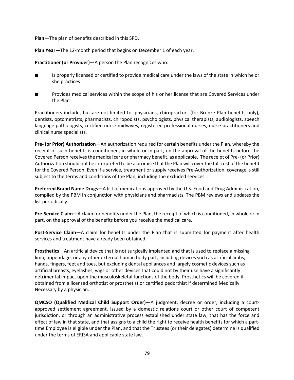**Plan**—The plan of benefits described in this SPD.

**Plan Year**—The 12-month period that begins on December 1 of each year.

**Practitioner (or Provider)**—A person the Plan recognizes who:

- Is properly licensed or certified to provide medical care under the laws of the state in which he or she practices
- Provides medical services within the scope of his or her license that are Covered Services under the Plan

Practitioners include, but are not limited to, physicians, chiropractors (for Bronze Plan benefits only), dentists, optometrists, pharmacists, chiropodists, psychologists, physical therapists, audiologists, speech language pathologists, certified nurse midwives, registered professional nurses, nurse practitioners and clinical nurse specialists.

**Pre- (or Prior) Authorization**—An authorization required for certain benefits under the Plan, whereby the receipt of such benefits is conditioned, in whole or in part, on the approval of the benefits before the Covered Person receives the medical care or pharmacy benefit, as applicable. The receipt of Pre- (or Prior) Authorization should not be interpreted to be a promise that the Plan will cover the full cost of the benefit for the Covered Person. Even if a service, treatment or supply receives Pre-Authorization, coverage is still subject to the terms and conditions of the Plan, including the excluded services.

**Preferred Brand Name Drugs**—A list of medications approved by the U.S. Food and Drug Administration, compiled by the PBM in conjunction with physicians and pharmacists. The PBM reviews and updates the list periodically.

**Pre-Service Claim**—A claim for benefits under the Plan, the receipt of which is conditioned, in whole or in part, on the approval of the benefits before you receive the medical care.

**Post-Service Claim**—A claim for benefits under the Plan that is submitted for payment after health services and treatment have already been obtained.

**Prosthetics**—An artificial device that is not surgically implanted and that is used to replace a missing limb, appendage, or any other external human body part, including devices such as artificial limbs, hands, fingers, feet and toes, but excluding dental appliances and largely cosmetic devices such as artificial breasts, eyelashes, wigs or other devices that could not by their use have a significantly detrimental impact upon the musculoskeletal functions of the body. Prosthetics will be covered if obtained from a licensed orthotist or prosthetist or certified pedorthist if determined Medically Necessary by a physician.

**QMCSO (Qualified Medical Child Support Order)**—A judgment, decree or order, including a courtapproved settlement agreement, issued by a domestic relations court or other court of competent jurisdiction, or through an administrative process established under state law, that has the force and effect of law in that state, and that assigns to a child the right to receive health benefits for which a parttime Employee is eligible under the Plan, and that the Trustees (or their delegates) determine is qualified under the terms of ERISA and applicable state law.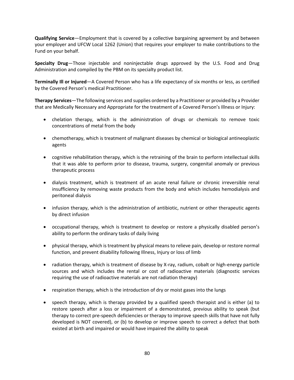**Qualifying Service**—Employment that is covered by a collective bargaining agreement by and between your employer and UFCW Local 1262 (Union) that requires your employer to make contributions to the Fund on your behalf.

**Specialty Drug**—Those injectable and noninjectable drugs approved by the U.S. Food and Drug Administration and compiled by the PBM on its specialty product list.

**Terminally Ill or Injured**—A Covered Person who has a life expectancy of six months or less, as certified by the Covered Person's medical Practitioner.

**Therapy Services**—The following services and supplies ordered by a Practitioner or provided by a Provider that are Medically Necessary and Appropriate for the treatment of a Covered Person's Illness or Injury:

- chelation therapy, which is the administration of drugs or chemicals to remove toxic concentrations of metal from the body
- chemotherapy, which is treatment of malignant diseases by chemical or biological antineoplastic agents
- cognitive rehabilitation therapy, which is the retraining of the brain to perform intellectual skills that it was able to perform prior to disease, trauma, surgery, congenital anomaly or previous therapeutic process
- dialysis treatment, which is treatment of an acute renal failure or chronic irreversible renal insufficiency by removing waste products from the body and which includes hemodialysis and peritoneal dialysis
- infusion therapy, which is the administration of antibiotic, nutrient or other therapeutic agents by direct infusion
- occupational therapy, which is treatment to develop or restore a physically disabled person's ability to perform the ordinary tasks of daily living
- physical therapy, which is treatment by physical means to relieve pain, develop or restore normal function, and prevent disability following Illness, Injury or loss of limb
- radiation therapy, which is treatment of disease by X-ray, radium, cobalt or high-energy particle sources and which includes the rental or cost of radioactive materials (diagnostic services requiring the use of radioactive materials are not radiation therapy)
- respiration therapy, which is the introduction of dry or moist gases into the lungs
- speech therapy, which is therapy provided by a qualified speech therapist and is either (a) to restore speech after a loss or impairment of a demonstrated, previous ability to speak (but therapy to correct pre-speech deficiencies or therapy to improve speech skills that have not fully developed is NOT covered), or (b) to develop or improve speech to correct a defect that both existed at birth and impaired or would have impaired the ability to speak